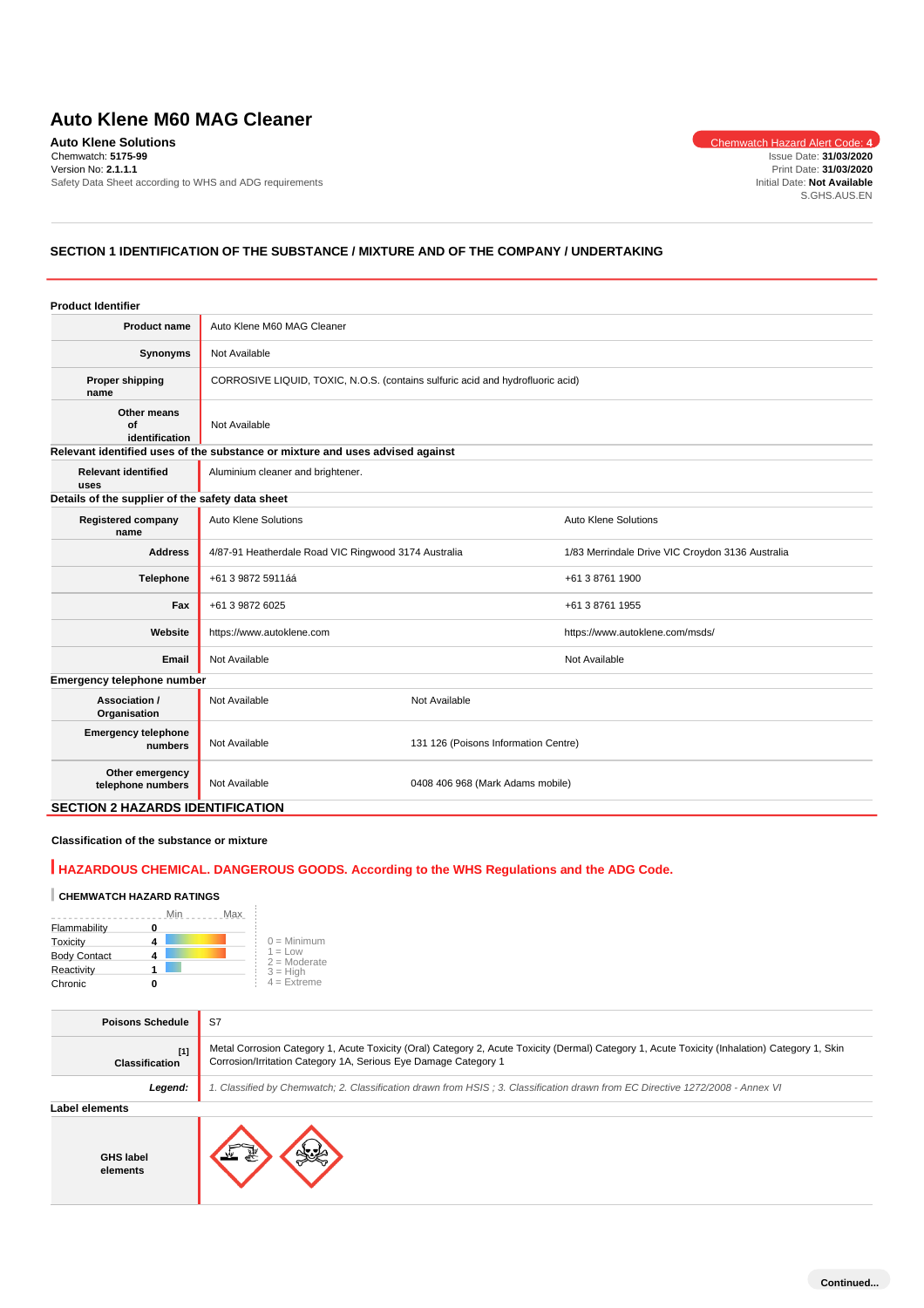# **Auto Klene M60 MAG Cleaner**

**Auto Klene Solutions** Chemwatch Hazard Alert Code: 4 Chemwatch: **5175-99** Version No: **2.1.1.1** Safety Data Sheet according to WHS and ADG requirements

Issue Date: **31/03/2020** Print Date: **31/03/2020** Initial Date: **Not Available** S.GHS.AUS.EN

# **SECTION 1 IDENTIFICATION OF THE SUBSTANCE / MIXTURE AND OF THE COMPANY / UNDERTAKING**

| <b>Product Identifier</b>                        |                                                                                |                                      |                                                  |
|--------------------------------------------------|--------------------------------------------------------------------------------|--------------------------------------|--------------------------------------------------|
| <b>Product name</b>                              | Auto Klene M60 MAG Cleaner                                                     |                                      |                                                  |
| Synonyms                                         | Not Available                                                                  |                                      |                                                  |
| <b>Proper shipping</b><br>name                   | CORROSIVE LIQUID, TOXIC, N.O.S. (contains sulfuric acid and hydrofluoric acid) |                                      |                                                  |
| Other means<br>of<br>identification              | Not Available                                                                  |                                      |                                                  |
|                                                  | Relevant identified uses of the substance or mixture and uses advised against  |                                      |                                                  |
| <b>Relevant identified</b><br>uses               | Aluminium cleaner and brightener.                                              |                                      |                                                  |
| Details of the supplier of the safety data sheet |                                                                                |                                      |                                                  |
| <b>Registered company</b><br>name                | <b>Auto Klene Solutions</b>                                                    |                                      | <b>Auto Klene Solutions</b>                      |
| <b>Address</b>                                   | 4/87-91 Heatherdale Road VIC Ringwood 3174 Australia                           |                                      | 1/83 Merrindale Drive VIC Croydon 3136 Australia |
| Telephone                                        | +61 3 9872 5911áá                                                              |                                      | +61 3 8761 1900                                  |
| Fax                                              | +61 3 9872 6025                                                                |                                      | +61 3 8761 1955                                  |
| Website                                          | https://www.autoklene.com                                                      |                                      | https://www.autoklene.com/msds/                  |
| <b>Email</b>                                     | Not Available                                                                  |                                      | Not Available                                    |
| Emergency telephone number                       |                                                                                |                                      |                                                  |
| Association /<br>Organisation                    | Not Available                                                                  | Not Available                        |                                                  |
| <b>Emergency telephone</b><br>numbers            | Not Available                                                                  | 131 126 (Poisons Information Centre) |                                                  |
| Other emergency<br>telephone numbers             | Not Available                                                                  | 0408 406 968 (Mark Adams mobile)     |                                                  |
| <b>SECTION 2 HAZARDS IDENTIFICATION</b>          |                                                                                |                                      |                                                  |

# **Classification of the substance or mixture**

# **HAZARDOUS CHEMICAL. DANGEROUS GOODS. According to the WHS Regulations and the ADG Code.**

## **CHEMWATCH HAZARD RATINGS**

|                     | Min | Max |                             |
|---------------------|-----|-----|-----------------------------|
| Flammability        | u   |     |                             |
| Toxicity            |     |     | $0 =$ Minimum               |
| <b>Body Contact</b> |     |     | $1 = Low$<br>$2 =$ Moderate |
| Reactivity          |     |     | $3 = H$ iah                 |
| Chronic             |     |     | $4 =$ Extreme               |

÷.

| <b>Poisons Schedule</b>      | S7                                                                                                                                                                                                                |
|------------------------------|-------------------------------------------------------------------------------------------------------------------------------------------------------------------------------------------------------------------|
| [1]<br><b>Classification</b> | Metal Corrosion Category 1, Acute Toxicity (Oral) Category 2, Acute Toxicity (Dermal) Category 1, Acute Toxicity (Inhalation) Category 1, Skin<br>Corrosion/Irritation Category 1A, Serious Eye Damage Category 1 |
| Legend:                      | 1. Classified by Chemwatch; 2. Classification drawn from HSIS; 3. Classification drawn from EC Directive 1272/2008 - Annex VI                                                                                     |
| Label elements               |                                                                                                                                                                                                                   |
| <b>GHS label</b><br>elements |                                                                                                                                                                                                                   |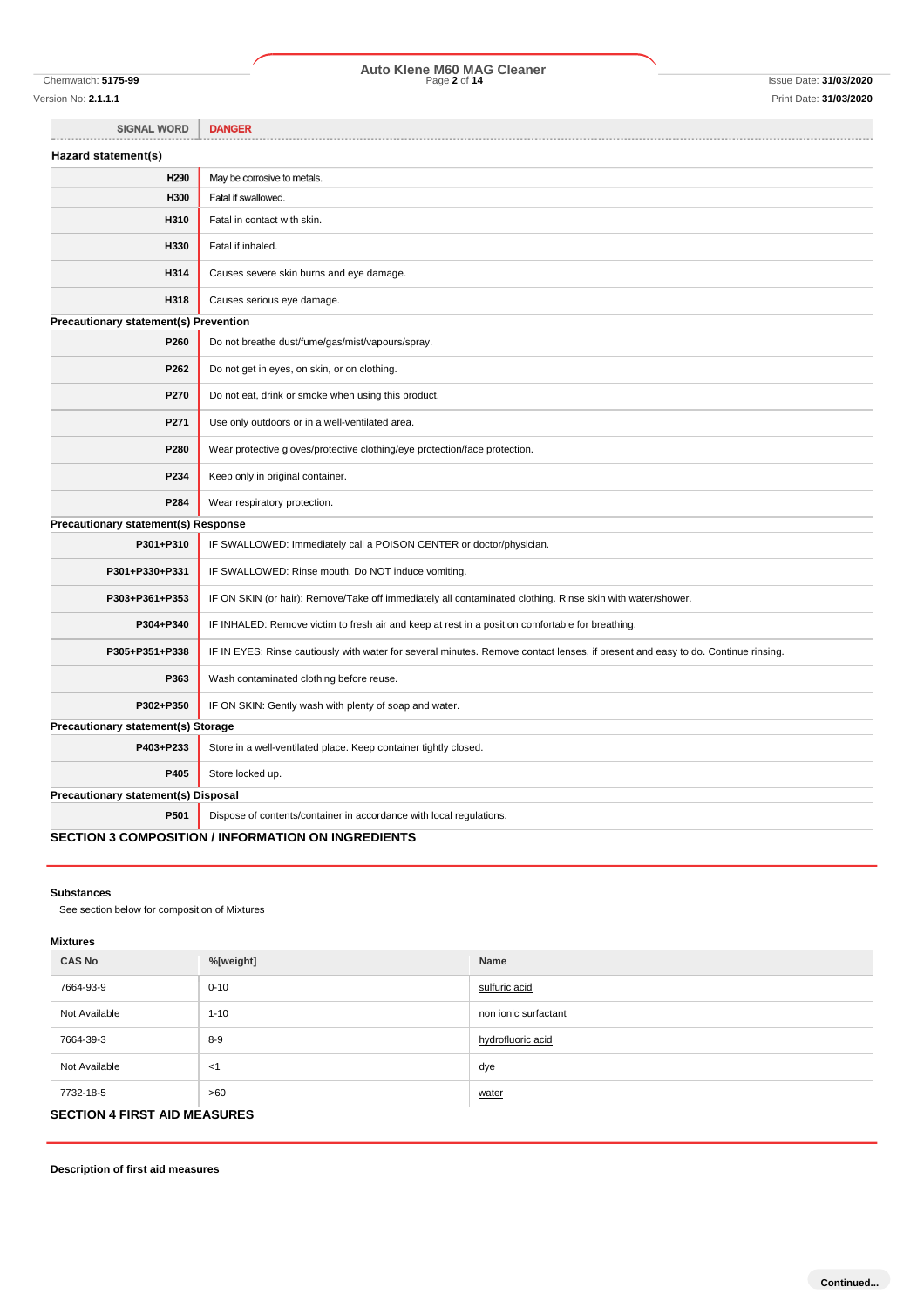# Chemwatch: **5175-99** Page **2** of **14** Issue Date: **31/03/2020 Auto Klene M60 MAG Cleaner**

SIGNAL WORD | DANGER

| Hazard statement(s)                          |                                                                                                                                  |
|----------------------------------------------|----------------------------------------------------------------------------------------------------------------------------------|
| H <sub>290</sub>                             | May be corrosive to metals.                                                                                                      |
| H300                                         | Fatal if swallowed.                                                                                                              |
| H310                                         | Fatal in contact with skin.                                                                                                      |
| H330                                         | Fatal if inhaled.                                                                                                                |
| H314                                         | Causes severe skin burns and eye damage.                                                                                         |
| H318                                         | Causes serious eye damage.                                                                                                       |
| <b>Precautionary statement(s) Prevention</b> |                                                                                                                                  |
| P260                                         | Do not breathe dust/fume/gas/mist/vapours/spray.                                                                                 |
| P262                                         | Do not get in eyes, on skin, or on clothing.                                                                                     |
| P270                                         | Do not eat, drink or smoke when using this product.                                                                              |
| P271                                         | Use only outdoors or in a well-ventilated area.                                                                                  |
| P280                                         | Wear protective gloves/protective clothing/eye protection/face protection.                                                       |
| P234                                         | Keep only in original container.                                                                                                 |
| P284                                         | Wear respiratory protection.                                                                                                     |
| <b>Precautionary statement(s) Response</b>   |                                                                                                                                  |
| P301+P310                                    | IF SWALLOWED: Immediately call a POISON CENTER or doctor/physician.                                                              |
| P301+P330+P331                               | IF SWALLOWED: Rinse mouth. Do NOT induce vomiting.                                                                               |
| P303+P361+P353                               | IF ON SKIN (or hair): Remove/Take off immediately all contaminated clothing. Rinse skin with water/shower.                       |
| P304+P340                                    | IF INHALED: Remove victim to fresh air and keep at rest in a position comfortable for breathing.                                 |
| P305+P351+P338                               | IF IN EYES: Rinse cautiously with water for several minutes. Remove contact lenses, if present and easy to do. Continue rinsing. |
| P363                                         | Wash contaminated clothing before reuse.                                                                                         |
| P302+P350                                    | IF ON SKIN: Gently wash with plenty of soap and water.                                                                           |
| Precautionary statement(s) Storage           |                                                                                                                                  |
| P403+P233                                    | Store in a well-ventilated place. Keep container tightly closed.                                                                 |
| P405                                         | Store locked up.                                                                                                                 |
| Precautionary statement(s) Disposal          |                                                                                                                                  |
| P501                                         | Dispose of contents/container in accordance with local regulations.                                                              |
|                                              | <b>SECTION 3 COMPOSITION / INFORMATION ON INGREDIENTS</b>                                                                        |

#### **Substances**

See section below for composition of Mixtures

#### **Mixtures**

| <b>CAS No</b> | %[weight]                           | Name                 |
|---------------|-------------------------------------|----------------------|
| 7664-93-9     | $0 - 10$                            | sulfuric acid        |
| Not Available | $1 - 10$                            | non ionic surfactant |
| 7664-39-3     | $8-9$                               | hydrofluoric acid    |
| Not Available | -≺1                                 | dye                  |
| 7732-18-5     | >60                                 | water                |
|               | <b>SECTION 4 FIRST AID MEASURES</b> |                      |

**Description of first aid measures**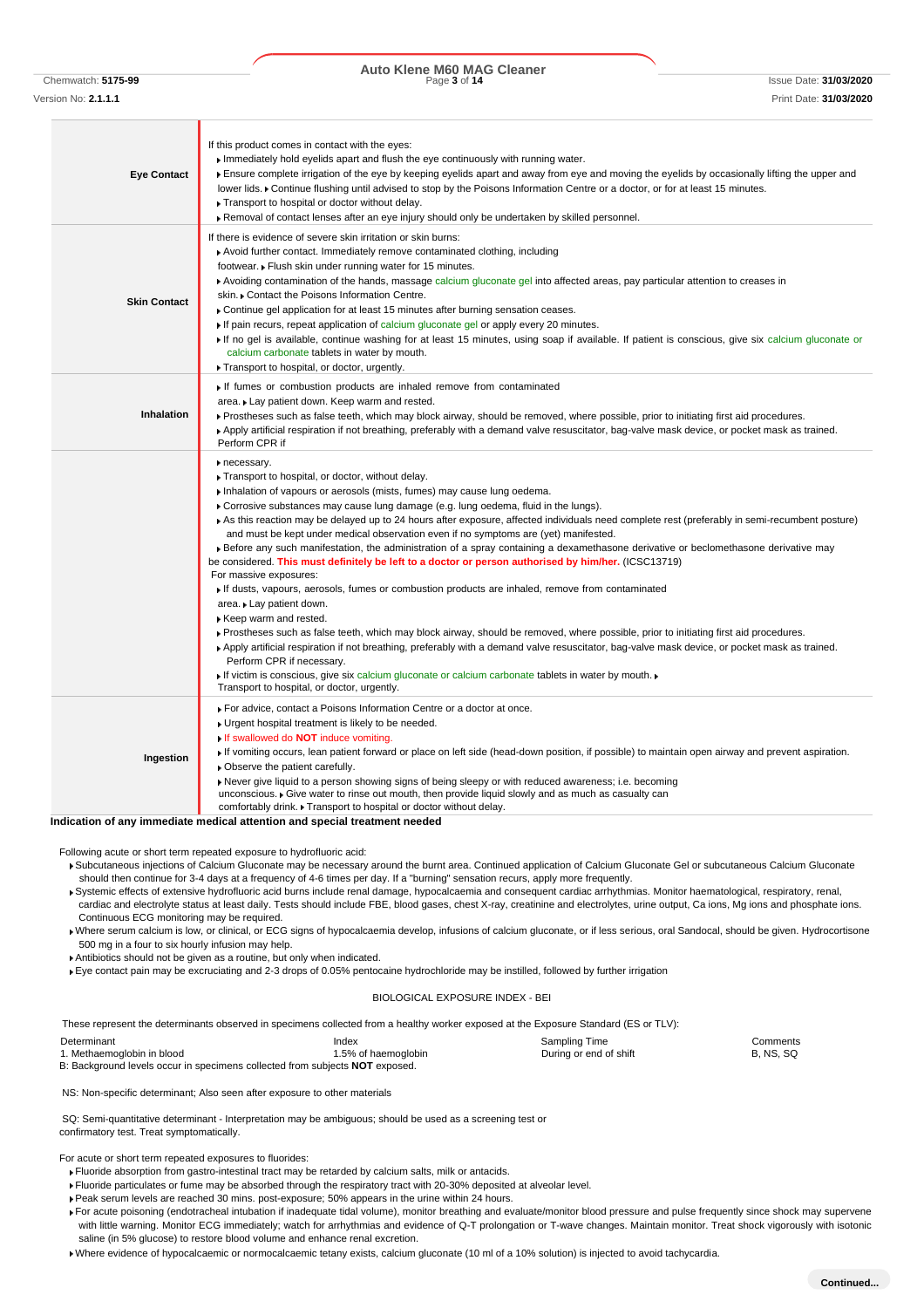Chemwatch: **5175-99** Page **3** of **14** Issue Date: **31/03/2020 Auto Klene M60 MAG Cleaner**

| <b>Eye Contact</b>  | If this product comes in contact with the eyes:<br>Immediately hold eyelids apart and flush the eye continuously with running water.<br>Ensure complete irrigation of the eye by keeping eyelids apart and away from eye and moving the eyelids by occasionally lifting the upper and<br>lower lids. • Continue flushing until advised to stop by the Poisons Information Centre or a doctor, or for at least 15 minutes.<br>Transport to hospital or doctor without delay.<br>▶ Removal of contact lenses after an eye injury should only be undertaken by skilled personnel.                                                                                                                                                                                                                                                                                                                                                                                                                                                                                                                                                                                                                                                                                                                                                                                                                |
|---------------------|-----------------------------------------------------------------------------------------------------------------------------------------------------------------------------------------------------------------------------------------------------------------------------------------------------------------------------------------------------------------------------------------------------------------------------------------------------------------------------------------------------------------------------------------------------------------------------------------------------------------------------------------------------------------------------------------------------------------------------------------------------------------------------------------------------------------------------------------------------------------------------------------------------------------------------------------------------------------------------------------------------------------------------------------------------------------------------------------------------------------------------------------------------------------------------------------------------------------------------------------------------------------------------------------------------------------------------------------------------------------------------------------------|
| <b>Skin Contact</b> | If there is evidence of severe skin irritation or skin burns:<br>▶ Avoid further contact. Immediately remove contaminated clothing, including<br>footwear. Flush skin under running water for 15 minutes.<br>▶ Avoiding contamination of the hands, massage calcium gluconate gel into affected areas, pay particular attention to creases in<br>skin. Contact the Poisons Information Centre.<br>► Continue gel application for at least 15 minutes after burning sensation ceases.<br>If pain recurs, repeat application of calcium gluconate gel or apply every 20 minutes.<br>If no gel is available, continue washing for at least 15 minutes, using soap if available. If patient is conscious, give six calcium gluconate or<br>calcium carbonate tablets in water by mouth.<br>Transport to hospital, or doctor, urgently.                                                                                                                                                                                                                                                                                                                                                                                                                                                                                                                                                            |
| <b>Inhalation</b>   | If fumes or combustion products are inhaled remove from contaminated<br>area. Lay patient down. Keep warm and rested.<br>Prostheses such as false teeth, which may block airway, should be removed, where possible, prior to initiating first aid procedures.<br>▶ Apply artificial respiration if not breathing, preferably with a demand valve resuscitator, bag-valve mask device, or pocket mask as trained.<br>Perform CPR if                                                                                                                                                                                                                                                                                                                                                                                                                                                                                                                                                                                                                                                                                                                                                                                                                                                                                                                                                            |
|                     | necessary.<br>▶ Transport to hospital, or doctor, without delay.<br>Inhalation of vapours or aerosols (mists, fumes) may cause lung oedema.<br>► Corrosive substances may cause lung damage (e.g. lung oedema, fluid in the lungs).<br>As this reaction may be delayed up to 24 hours after exposure, affected individuals need complete rest (preferably in semi-recumbent posture)<br>and must be kept under medical observation even if no symptoms are (yet) manifested.<br>► Before any such manifestation, the administration of a spray containing a dexamethasone derivative or beclomethasone derivative may<br>be considered. This must definitely be left to a doctor or person authorised by him/her. (ICSC13719)<br>For massive exposures:<br>If dusts, vapours, aerosols, fumes or combustion products are inhaled, remove from contaminated<br>area. Lay patient down.<br>Keep warm and rested.<br>▶ Prostheses such as false teeth, which may block airway, should be removed, where possible, prior to initiating first aid procedures.<br>▶ Apply artificial respiration if not breathing, preferably with a demand valve resuscitator, bag-valve mask device, or pocket mask as trained.<br>Perform CPR if necessary.<br>If victim is conscious, give six calcium gluconate or calcium carbonate tablets in water by mouth.<br>Transport to hospital, or doctor, urgently. |
| Ingestion           | For advice, contact a Poisons Information Centre or a doctor at once.<br>• Urgent hospital treatment is likely to be needed.<br>If swallowed do <b>NOT</b> induce vomiting.<br>If vomiting occurs, lean patient forward or place on left side (head-down position, if possible) to maintain open airway and prevent aspiration.<br>• Observe the patient carefully.<br>▶ Never give liquid to a person showing signs of being sleepy or with reduced awareness; i.e. becoming<br>unconscious. Give water to rinse out mouth, then provide liquid slowly and as much as casualty can<br>comfortably drink. Transport to hospital or doctor without delay.                                                                                                                                                                                                                                                                                                                                                                                                                                                                                                                                                                                                                                                                                                                                      |
|                     | Indication of any immediate medical attention and special treatment needed                                                                                                                                                                                                                                                                                                                                                                                                                                                                                                                                                                                                                                                                                                                                                                                                                                                                                                                                                                                                                                                                                                                                                                                                                                                                                                                    |

Following acute or short term repeated exposure to hydrofluoric acid:

Subcutaneous injections of Calcium Gluconate may be necessary around the burnt area. Continued application of Calcium Gluconate Gel or subcutaneous Calcium Gluconate should then continue for 3-4 days at a frequency of 4-6 times per day. If a "burning" sensation recurs, apply more frequently.

Systemic effects of extensive hydrofluoric acid burns include renal damage, hypocalcaemia and consequent cardiac arrhythmias. Monitor haematological, respiratory, renal, cardiac and electrolyte status at least daily. Tests should include FBE, blood gases, chest X-ray, creatinine and electrolytes, urine output, Ca ions, Mg ions and phosphate ions. Continuous ECG monitoring may be required.

Where serum calcium is low, or clinical, or ECG signs of hypocalcaemia develop, infusions of calcium gluconate, or if less serious, oral Sandocal, should be given. Hydrocortisone 500 mg in a four to six hourly infusion may help.

Antibiotics should not be given as a routine, but only when indicated.

Eye contact pain may be excruciating and 2-3 drops of 0.05% pentocaine hydrochloride may be instilled, followed by further irrigation

#### BIOLOGICAL EXPOSURE INDEX - BEI

These represent the determinants observed in specimens collected from a healthy worker exposed at the Exposure Standard (ES or TLV):

| Determinant                                                                         | Index               | Sampling Time          | Comments         |
|-------------------------------------------------------------------------------------|---------------------|------------------------|------------------|
| 1. Methaemoglobin in blood                                                          | 1.5% of haemoglobin | During or end of shift | <b>B. NS. SQ</b> |
| B: Background levels occur in specimens collected from subjects <b>NOT</b> exposed. |                     |                        |                  |

NS: Non-specific determinant; Also seen after exposure to other materials

SQ: Semi-quantitative determinant - Interpretation may be ambiguous; should be used as a screening test or confirmatory test. Treat symptomatically.

For acute or short term repeated exposures to fluorides:

- Fluoride absorption from gastro-intestinal tract may be retarded by calcium salts, milk or antacids.
- Fluoride particulates or fume may be absorbed through the respiratory tract with 20-30% deposited at alveolar level.
- Peak serum levels are reached 30 mins. post-exposure; 50% appears in the urine within 24 hours.

For acute poisoning (endotracheal intubation if inadequate tidal volume), monitor breathing and evaluate/monitor blood pressure and pulse frequently since shock may supervene with little warning. Monitor ECG immediately; watch for arrhythmias and evidence of Q-T prolongation or T-wave changes. Maintain monitor. Treat shock vigorously with isotonic saline (in 5% glucose) to restore blood volume and enhance renal excretion.

Where evidence of hypocalcaemic or normocalcaemic tetany exists, calcium gluconate (10 ml of a 10% solution) is injected to avoid tachycardia.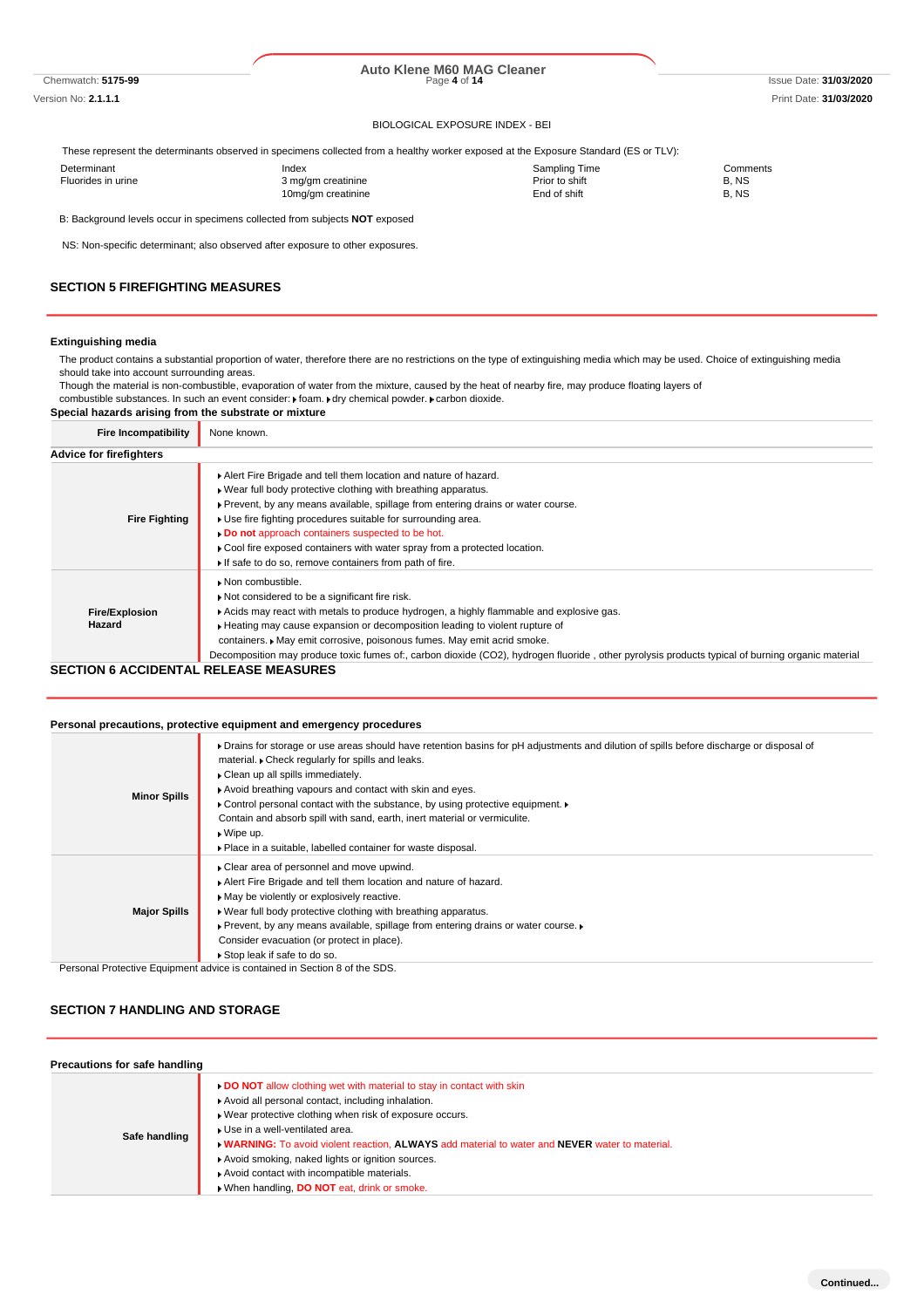# Chemwatch: **5175-99** Page **4** of **14** Issue Date: **31/03/2020 Auto Klene M60 MAG Cleaner**

#### BIOLOGICAL EXPOSURE INDEX - BEI

These represent the determinants observed in specimens collected from a healthy worker exposed at the Exposure Standard (ES or TLV):

| Determinant        | Index              | Sampling Time  | Comments |
|--------------------|--------------------|----------------|----------|
| Fluorides in urine | 3 mg/gm creatinine | Prior to shift | B.NS     |
|                    | 10mg/gm creatinine | End of shift   | B. NS    |
|                    |                    |                |          |

B: Background levels occur in specimens collected from subjects **NOT** exposed

NS: Non-specific determinant; also observed after exposure to other exposures.

#### **SECTION 5 FIREFIGHTING MEASURES**

#### **Extinguishing media**

The product contains a substantial proportion of water, therefore there are no restrictions on the type of extinguishing media which may be used. Choice of extinguishing media should take into account surrounding areas.

Though the material is non-combustible, evaporation of water from the mixture, caused by the heat of nearby fire, may produce floating layers of combustible substances. In such an event consider:  $\mathbf r$  foam.  $\mathbf r$  dry chemical powder.  $\mathbf r$  carbon dioxide.

**Special hazards arising from the substrate or mixture**

| <b>Fire Incompatibility</b>     | None known.                                                                                                                                                                                                                                                                                                                                                                                                                                                                        |
|---------------------------------|------------------------------------------------------------------------------------------------------------------------------------------------------------------------------------------------------------------------------------------------------------------------------------------------------------------------------------------------------------------------------------------------------------------------------------------------------------------------------------|
| <b>Advice for firefighters</b>  |                                                                                                                                                                                                                                                                                                                                                                                                                                                                                    |
| <b>Fire Fighting</b>            | Alert Fire Brigade and tell them location and nature of hazard.<br>. Wear full body protective clothing with breathing apparatus.<br>► Prevent, by any means available, spillage from entering drains or water course.<br>• Use fire fighting procedures suitable for surrounding area.<br>Do not approach containers suspected to be hot.<br>▶ Cool fire exposed containers with water spray from a protected location.<br>If safe to do so, remove containers from path of fire. |
| <b>Fire/Explosion</b><br>Hazard | • Non combustible.<br>Not considered to be a significant fire risk.<br>Acids may react with metals to produce hydrogen, a highly flammable and explosive gas.<br>► Heating may cause expansion or decomposition leading to violent rupture of<br>containers. May emit corrosive, poisonous fumes. May emit acrid smoke.<br>Decomposition may produce toxic fumes of:, carbon dioxide (CO2), hydrogen fluoride, other pyrolysis products typical of burning organic material        |

### **SECTION 6 ACCIDENTAL RELEASE MEASURES**

#### **Personal precautions, protective equipment and emergency procedures**

| <b>Minor Spills</b> | • Drains for storage or use areas should have retention basins for pH adjustments and dilution of spills before discharge or disposal of<br>material. Check regularly for spills and leaks.<br>Clean up all spills immediately.<br>Avoid breathing vapours and contact with skin and eyes.<br>• Control personal contact with the substance, by using protective equipment.<br>Contain and absorb spill with sand, earth, inert material or vermiculite.<br>$\bullet$ Wipe up.<br>▶ Place in a suitable, labelled container for waste disposal. |
|---------------------|-------------------------------------------------------------------------------------------------------------------------------------------------------------------------------------------------------------------------------------------------------------------------------------------------------------------------------------------------------------------------------------------------------------------------------------------------------------------------------------------------------------------------------------------------|
| <b>Major Spills</b> | ▶ Clear area of personnel and move upwind.<br>Alert Fire Brigade and tell them location and nature of hazard.<br>• May be violently or explosively reactive.<br>. Wear full body protective clothing with breathing apparatus.<br>▶ Prevent, by any means available, spillage from entering drains or water course. ▶<br>Consider evacuation (or protect in place).<br>Stop leak if safe to do so.                                                                                                                                              |
|                     | Personal Protective Equipment advice is contained in Section 8 of the SDS.                                                                                                                                                                                                                                                                                                                                                                                                                                                                      |

### **SECTION 7 HANDLING AND STORAGE**

| Precautions for safe handling |                                                                                                 |
|-------------------------------|-------------------------------------------------------------------------------------------------|
|                               | <b>DO NOT</b> allow clothing wet with material to stay in contact with skin                     |
|                               | Avoid all personal contact, including inhalation.                                               |
|                               | ▶ Wear protective clothing when risk of exposure occurs.                                        |
| Safe handling                 | ▶ Use in a well-ventilated area.                                                                |
|                               | . WARNING: To avoid violent reaction, ALWAYS add material to water and NEVER water to material. |
|                               | Avoid smoking, naked lights or ignition sources.                                                |
|                               | Avoid contact with incompatible materials.                                                      |
|                               | When handling, DO NOT eat, drink or smoke.                                                      |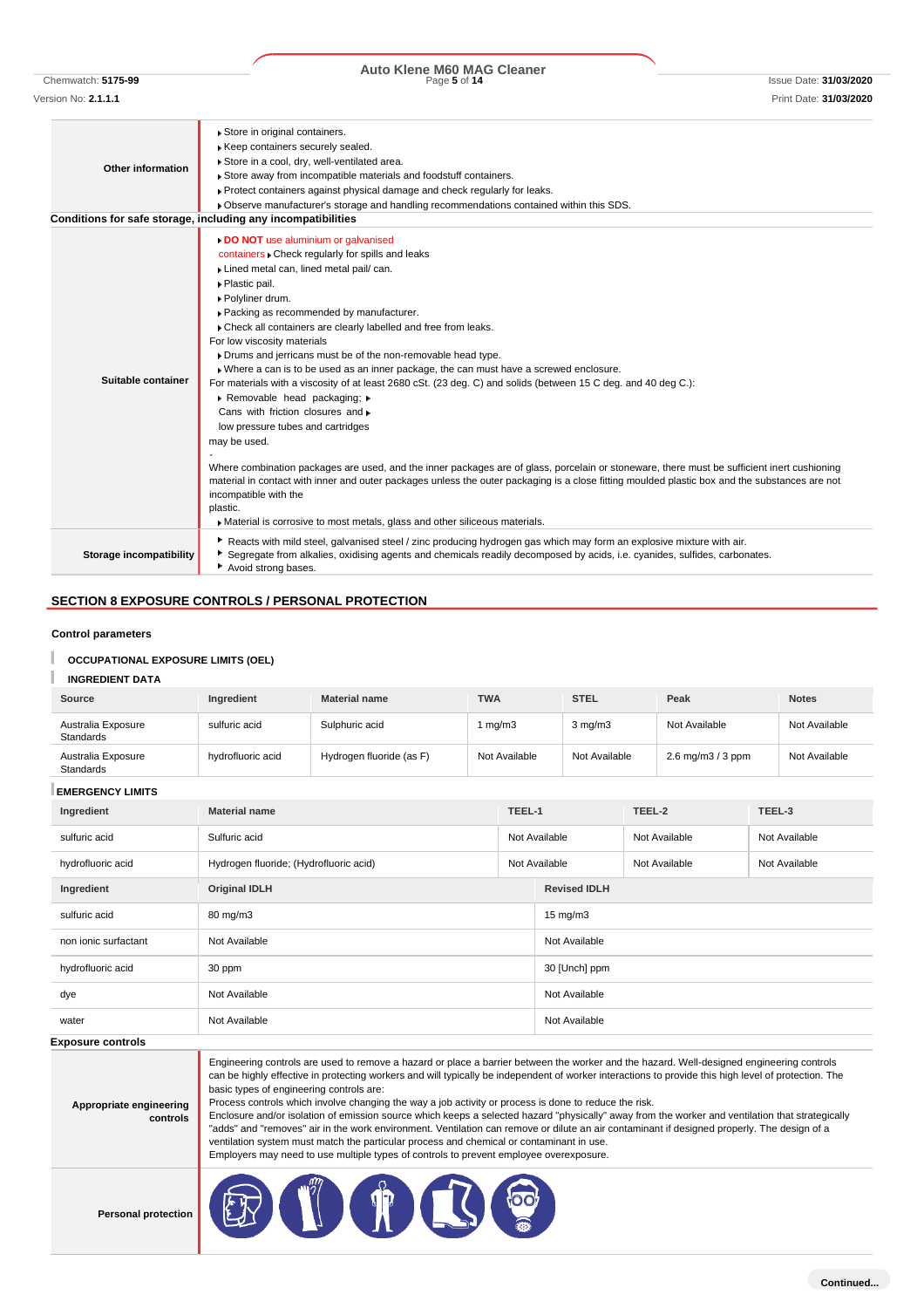# Chemwatch: **5175-99** Page **5** of **14** Issue Date: **31/03/2020 Auto Klene M60 MAG Cleaner**

| Other information       | Store in original containers.<br>Keep containers securely sealed.<br>Store in a cool, dry, well-ventilated area.<br>Store away from incompatible materials and foodstuff containers.<br>► Protect containers against physical damage and check regularly for leaks.<br>• Observe manufacturer's storage and handling recommendations contained within this SDS.                                                                                                                                                                                                                                                                                                                                                                                                                                                                                                                                                                                                                                                                                                                                                                                   |
|-------------------------|---------------------------------------------------------------------------------------------------------------------------------------------------------------------------------------------------------------------------------------------------------------------------------------------------------------------------------------------------------------------------------------------------------------------------------------------------------------------------------------------------------------------------------------------------------------------------------------------------------------------------------------------------------------------------------------------------------------------------------------------------------------------------------------------------------------------------------------------------------------------------------------------------------------------------------------------------------------------------------------------------------------------------------------------------------------------------------------------------------------------------------------------------|
|                         | Conditions for safe storage, including any incompatibilities                                                                                                                                                                                                                                                                                                                                                                                                                                                                                                                                                                                                                                                                                                                                                                                                                                                                                                                                                                                                                                                                                      |
| Suitable container      | DO NOT use aluminium or galvanised<br>containers . Check regularly for spills and leaks<br>Lined metal can, lined metal pail/ can.<br>▶ Plastic pail.<br>▶ Polyliner drum.<br>▶ Packing as recommended by manufacturer.<br>Check all containers are clearly labelled and free from leaks.<br>For low viscosity materials<br>Drums and jerricans must be of the non-removable head type.<br>. Where a can is to be used as an inner package, the can must have a screwed enclosure.<br>For materials with a viscosity of at least 2680 cSt. (23 deg. C) and solids (between 15 C deg. and 40 deg C.):<br>Removable head packaging; »<br>Cans with friction closures and »<br>low pressure tubes and cartridges<br>may be used.<br>Where combination packages are used, and the inner packages are of glass, porcelain or stoneware, there must be sufficient inert cushioning<br>material in contact with inner and outer packages unless the outer packaging is a close fitting moulded plastic box and the substances are not<br>incompatible with the<br>plastic.<br>Material is corrosive to most metals, glass and other siliceous materials. |
| Storage incompatibility | Reacts with mild steel, galvanised steel / zinc producing hydrogen gas which may form an explosive mixture with air.<br>Segregate from alkalies, oxidising agents and chemicals readily decomposed by acids, i.e. cyanides, sulfides, carbonates.<br>Avoid strong bases.                                                                                                                                                                                                                                                                                                                                                                                                                                                                                                                                                                                                                                                                                                                                                                                                                                                                          |

#### **Control parameters**

#### **OCCUPATIONAL EXPOSURE LIMITS (OEL)**

#### **INGREDIENT DATA**

| <b>Source</b>                   | Ingredient        | <b>Material name</b>     | <b>TWA</b>    | <b>STEL</b>      | Peak                                       | <b>Notes</b>  |
|---------------------------------|-------------------|--------------------------|---------------|------------------|--------------------------------------------|---------------|
| Australia Exposure<br>Standards | sulfuric acid     | Sulphuric acid           | 1 mg/m3       | $3 \text{ mg/m}$ | Not Available                              | Not Available |
| Australia Exposure<br>Standards | hydrofluoric acid | Hydrogen fluoride (as F) | Not Available | Not Available    | $2.6 \,\mathrm{mq/m}$ $3/3 \,\mathrm{ppm}$ | Not Available |

**EMERGENCY LIMITS**

| Ingredient           | <b>Material name</b>                   | TEEL-1 |                     | TEEL-2        | TEEL-3        |
|----------------------|----------------------------------------|--------|---------------------|---------------|---------------|
| sulfuric acid        | Sulfuric acid                          |        | Not Available       | Not Available | Not Available |
| hydrofluoric acid    | Hydrogen fluoride; (Hydrofluoric acid) |        | Not Available       | Not Available | Not Available |
| Ingredient           | <b>Original IDLH</b>                   |        | <b>Revised IDLH</b> |               |               |
| sulfuric acid        | 80 mg/m3                               |        | $15 \text{ mg/m}$   |               |               |
| non ionic surfactant | Not Available                          |        | Not Available       |               |               |
| hydrofluoric acid    | 30 ppm                                 |        | 30 [Unch] ppm       |               |               |
| dye                  | Not Available                          |        | Not Available       |               |               |
| water                | Not Available                          |        | Not Available       |               |               |
| -                    |                                        |        |                     |               |               |

**Exposure controls**

**Appropriate engineering controls** Engineering controls are used to remove a hazard or place a barrier between the worker and the hazard. Well-designed engineering controls can be highly effective in protecting workers and will typically be independent of worker interactions to provide this high level of protection. The basic types of engineering controls are: Process controls which involve changing the way a job activity or process is done to reduce the risk. Enclosure and/or isolation of emission source which keeps a selected hazard "physically" away from the worker and ventilation that strategically "adds" and "removes" air in the work environment. Ventilation can remove or dilute an air contaminant if designed properly. The design of a

**Personal prote** 

| ection | - |  | $\sim$ |
|--------|---|--|--------|
|--------|---|--|--------|

ventilation system must match the particular process and chemical or contaminant in use. Employers may need to use multiple types of controls to prevent employee overexposure.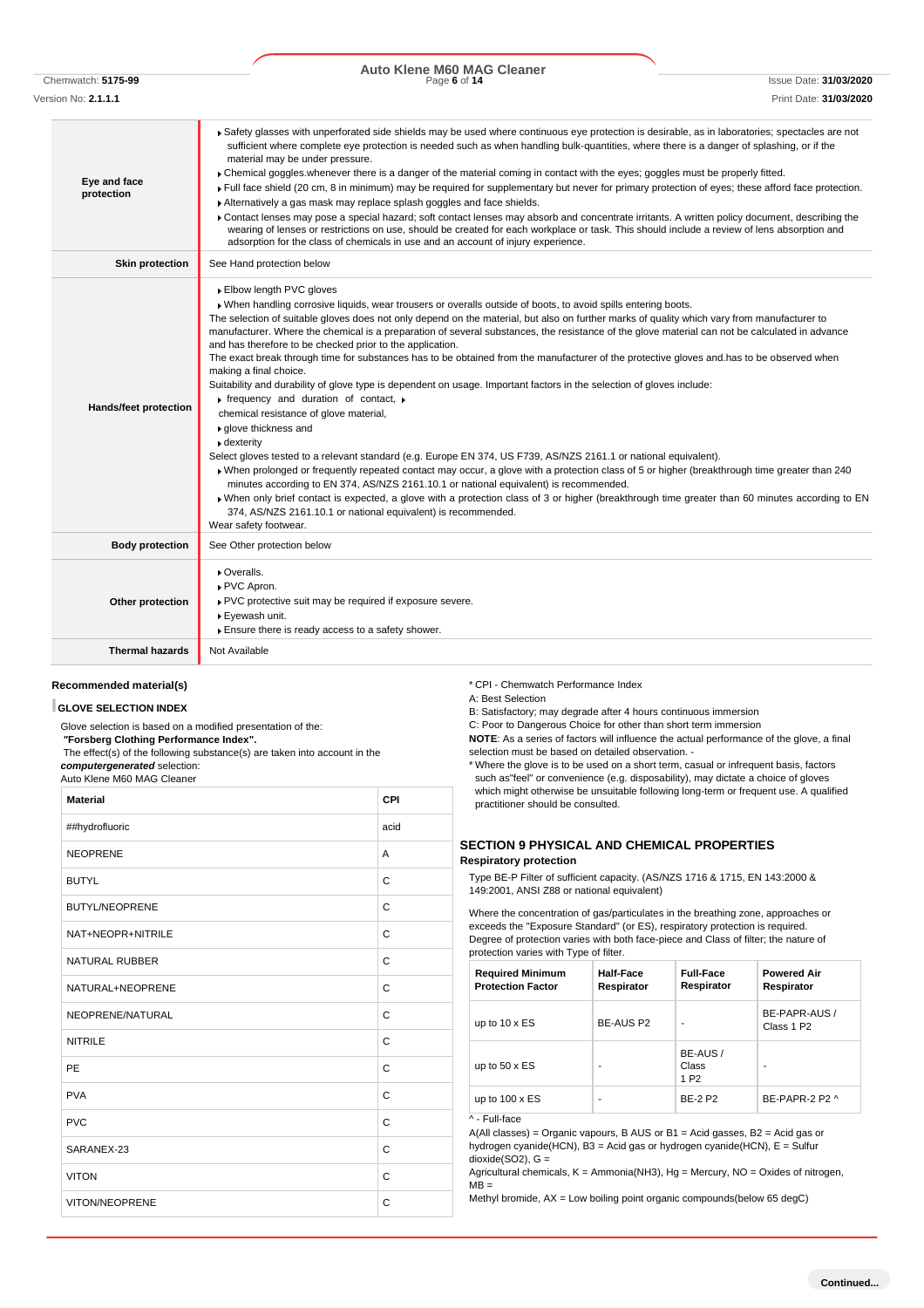Chemwatch: **5175-99** Page **6** of **14** Issue Date: **31/03/2020 Auto Klene M60 MAG Cleaner**

| Version No: <b>2.1.1.1</b> | Print Date: 31/03/2020                                                                                                                                                                                                                                                                                                                                                                                                                                                                                                                                                                                                                                                                                                                                                                                                                                                                                                                                                                                                                                                                                                                                                                                                                                                                                                                                                                                                                                                                                                                                                        |
|----------------------------|-------------------------------------------------------------------------------------------------------------------------------------------------------------------------------------------------------------------------------------------------------------------------------------------------------------------------------------------------------------------------------------------------------------------------------------------------------------------------------------------------------------------------------------------------------------------------------------------------------------------------------------------------------------------------------------------------------------------------------------------------------------------------------------------------------------------------------------------------------------------------------------------------------------------------------------------------------------------------------------------------------------------------------------------------------------------------------------------------------------------------------------------------------------------------------------------------------------------------------------------------------------------------------------------------------------------------------------------------------------------------------------------------------------------------------------------------------------------------------------------------------------------------------------------------------------------------------|
| Eye and face<br>protection | ▶ Safety glasses with unperforated side shields may be used where continuous eye protection is desirable, as in laboratories; spectacles are not<br>sufficient where complete eye protection is needed such as when handling bulk-quantities, where there is a danger of splashing, or if the<br>material may be under pressure.<br>• Chemical goggles whenever there is a danger of the material coming in contact with the eyes; goggles must be properly fitted.<br>Full face shield (20 cm, 8 in minimum) may be required for supplementary but never for primary protection of eyes; these afford face protection.<br>Alternatively a gas mask may replace splash goggles and face shields.<br>Contact lenses may pose a special hazard; soft contact lenses may absorb and concentrate irritants. A written policy document, describing the<br>wearing of lenses or restrictions on use, should be created for each workplace or task. This should include a review of lens absorption and<br>adsorption for the class of chemicals in use and an account of injury experience.                                                                                                                                                                                                                                                                                                                                                                                                                                                                                         |
| <b>Skin protection</b>     | See Hand protection below                                                                                                                                                                                                                                                                                                                                                                                                                                                                                                                                                                                                                                                                                                                                                                                                                                                                                                                                                                                                                                                                                                                                                                                                                                                                                                                                                                                                                                                                                                                                                     |
| Hands/feet protection      | Elbow length PVC gloves<br>. When handling corrosive liquids, wear trousers or overalls outside of boots, to avoid spills entering boots.<br>The selection of suitable gloves does not only depend on the material, but also on further marks of quality which vary from manufacturer to<br>manufacturer. Where the chemical is a preparation of several substances, the resistance of the glove material can not be calculated in advance<br>and has therefore to be checked prior to the application.<br>The exact break through time for substances has to be obtained from the manufacturer of the protective gloves and has to be observed when<br>making a final choice.<br>Suitability and durability of glove type is dependent on usage. Important factors in the selection of gloves include:<br>$\triangleright$ frequency and duration of contact, $\triangleright$<br>chemical resistance of glove material,<br>▶ glove thickness and<br>• dexterity<br>Select gloves tested to a relevant standard (e.g. Europe EN 374, US F739, AS/NZS 2161.1 or national equivalent).<br>• When prolonged or frequently repeated contact may occur, a glove with a protection class of 5 or higher (breakthrough time greater than 240<br>minutes according to EN 374, AS/NZS 2161.10.1 or national equivalent) is recommended.<br>> When only brief contact is expected, a glove with a protection class of 3 or higher (breakthrough time greater than 60 minutes according to EN<br>374, AS/NZS 2161.10.1 or national equivalent) is recommended.<br>Wear safety footwear. |
| <b>Body protection</b>     | See Other protection below                                                                                                                                                                                                                                                                                                                                                                                                                                                                                                                                                                                                                                                                                                                                                                                                                                                                                                                                                                                                                                                                                                                                                                                                                                                                                                                                                                                                                                                                                                                                                    |
| Other protection           | Overalls.<br>PVC Apron.<br>PVC protective suit may be required if exposure severe.<br>▶ Eyewash unit.<br>Ensure there is ready access to a safety shower.                                                                                                                                                                                                                                                                                                                                                                                                                                                                                                                                                                                                                                                                                                                                                                                                                                                                                                                                                                                                                                                                                                                                                                                                                                                                                                                                                                                                                     |
| <b>Thermal hazards</b>     | Not Available                                                                                                                                                                                                                                                                                                                                                                                                                                                                                                                                                                                                                                                                                                                                                                                                                                                                                                                                                                                                                                                                                                                                                                                                                                                                                                                                                                                                                                                                                                                                                                 |

#### **Recommended material(s)**

#### **GLOVE SELECTION INDEX**

Glove selection is based on a modified presentation of the: *"***Forsberg Clothing Performance Index".** The effect(s) of the following substance(s) are taken into account in the

*computergenerated* selection: Auto Klene M60 MAG Cleaner

| <b>Material</b>       | CPI          |
|-----------------------|--------------|
| ##hydrofluoric        | acid         |
| <b>NEOPRENE</b>       | A            |
| <b>BUTYL</b>          | $\mathsf{C}$ |
| <b>BUTYL/NEOPRENE</b> | $\mathsf{C}$ |
| NAT+NEOPR+NITRILE     | C            |
| <b>NATURAL RUBBER</b> | $\mathsf{C}$ |
| NATURAL+NEOPRENE      | $\mathsf{C}$ |
| NEOPRENE/NATURAL      | C            |
| <b>NITRILE</b>        | C            |
| PE                    | $\mathsf{C}$ |
| <b>PVA</b>            | $\mathsf{C}$ |
| <b>PVC</b>            | $\mathsf{C}$ |
| SARANEX-23            | C            |
| <b>VITON</b>          | $\mathsf{C}$ |
| VITON/NEOPRENE        | $\mathsf{C}$ |

\* CPI - Chemwatch Performance Index

A: Best Selection

B: Satisfactory; may degrade after 4 hours continuous immersion

C: Poor to Dangerous Choice for other than short term immersion

**NOTE**: As a series of factors will influence the actual performance of the glove, a final selection must be based on detailed observation. -

\* Where the glove is to be used on a short term, casual or infrequent basis, factors such as"feel" or convenience (e.g. disposability), may dictate a choice of gloves which might otherwise be unsuitable following long-term or frequent use. A qualified practitioner should be consulted.

#### **SECTION 9 PHYSICAL AND CHEMICAL PROPERTIES Respiratory protection**

Type BE-P Filter of sufficient capacity. (AS/NZS 1716 & 1715, EN 143:2000 & 149:2001, ANSI Z88 or national equivalent)

Where the concentration of gas/particulates in the breathing zone, approaches or exceeds the "Exposure Standard" (or ES), respiratory protection is required. Degree of protection varies with both face-piece and Class of filter; the nature of protection varies with Type of filter.

| <b>Required Minimum</b><br><b>Protection Factor</b> | Half-Face<br>Respirator | <b>Full-Face</b><br>Respirator       | <b>Powered Air</b><br>Respirator        |
|-----------------------------------------------------|-------------------------|--------------------------------------|-----------------------------------------|
| up to $10 \times ES$                                | BE-AUS P2               |                                      | BE-PAPR-AUS /<br>Class 1 P <sub>2</sub> |
| up to $50 \times ES$                                |                         | BE-AUS/<br>Class<br>1 P <sub>2</sub> | ۰                                       |
| up to $100 \times ES$<br>$\cdot$ $ \cdot$ $\cdot$   | ۰                       | <b>BE-2 P2</b>                       | BE-PAPR-2 P2 ^                          |

<sup>^ -</sup> Full-face

A(All classes) = Organic vapours, B AUS or B1 = Acid gasses, B2 = Acid gas or hydrogen cyanide(HCN), B3 = Acid gas or hydrogen cyanide(HCN), E = Sulfur dioxide(SO2), G =

Agricultural chemicals,  $K =$  Ammonia(NH3), Hg = Mercury, NO = Oxides of nitrogen,  $MB =$ 

Methyl bromide, AX = Low boiling point organic compounds(below 65 degC)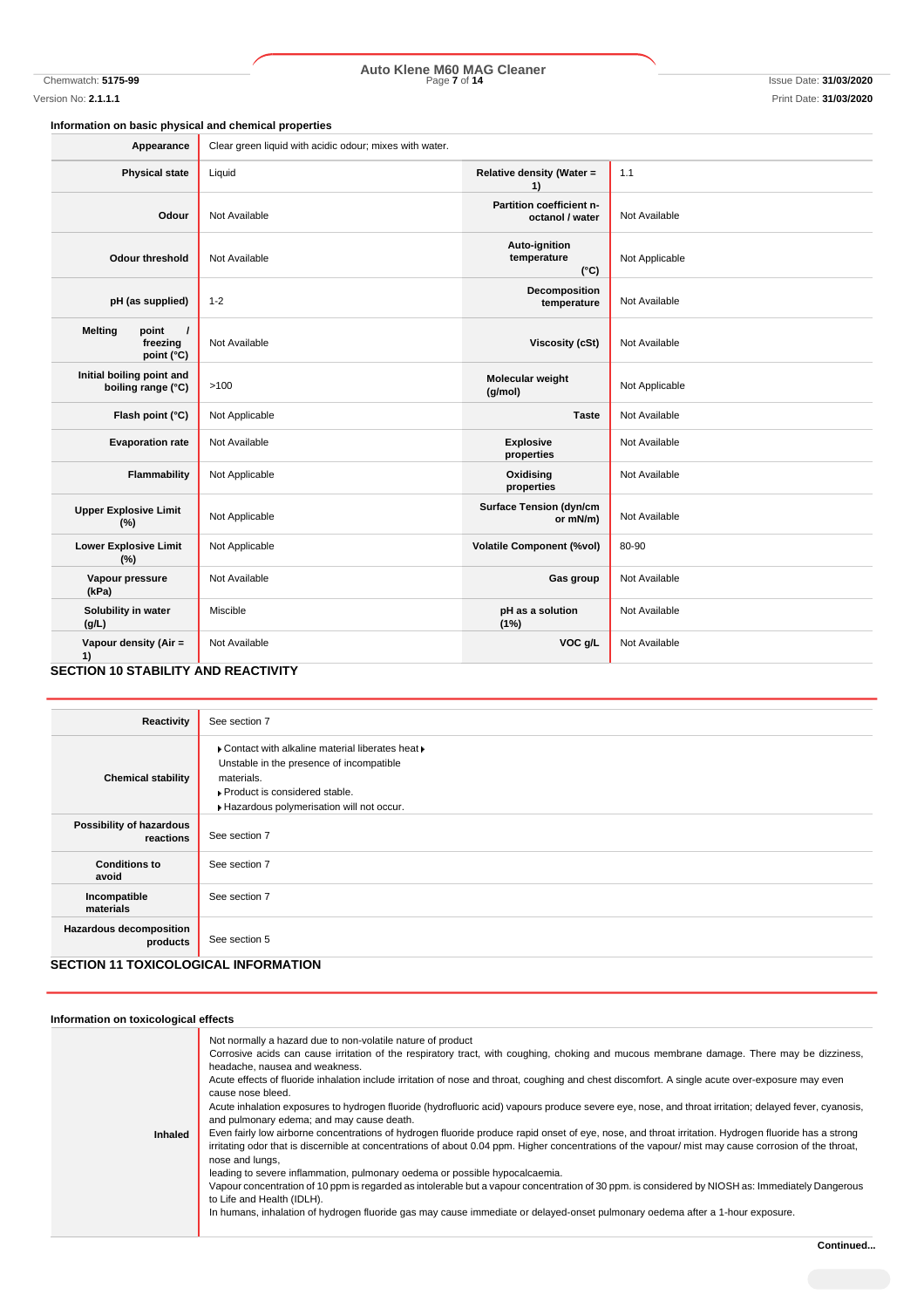# Chemwatch: **5175-99** Page **7** of **14** Issue Date: **31/03/2020 Auto Klene M60 MAG Cleaner**

### **Information on basic physical and chemical properties**

| Appearance                                                                | Clear green liquid with acidic odour; mixes with water. |                                               |                |
|---------------------------------------------------------------------------|---------------------------------------------------------|-----------------------------------------------|----------------|
| <b>Physical state</b>                                                     | Liquid                                                  | Relative density (Water =<br>1)               | 1.1            |
| Odour                                                                     | Not Available                                           | Partition coefficient n-<br>octanol / water   | Not Available  |
| <b>Odour threshold</b>                                                    | Not Available                                           | Auto-ignition<br>temperature<br>$(^{\circ}C)$ | Not Applicable |
| pH (as supplied)                                                          | $1 - 2$                                                 | Decomposition<br>temperature                  | Not Available  |
| point<br><b>Melting</b><br>$\overline{1}$<br>freezing<br>point (°C)       | Not Available                                           | <b>Viscosity (cSt)</b>                        | Not Available  |
| Initial boiling point and<br>boiling range (°C)                           | >100                                                    | Molecular weight<br>(g/mol)                   | Not Applicable |
| Flash point (°C)                                                          | Not Applicable                                          | <b>Taste</b>                                  | Not Available  |
| <b>Evaporation rate</b>                                                   | Not Available                                           | <b>Explosive</b><br>properties                | Not Available  |
| Flammability                                                              | Not Applicable                                          | Oxidising<br>properties                       | Not Available  |
| <b>Upper Explosive Limit</b><br>(%)                                       | Not Applicable                                          | <b>Surface Tension (dyn/cm</b><br>or mN/m)    | Not Available  |
| <b>Lower Explosive Limit</b><br>(%)                                       | Not Applicable                                          | <b>Volatile Component (%vol)</b>              | 80-90          |
| Vapour pressure<br>(kPa)                                                  | Not Available                                           | Gas group                                     | Not Available  |
| Solubility in water<br>(g/L)                                              | Miscible                                                | pH as a solution<br>(1%)                      | Not Available  |
| Vapour density (Air =<br>1)<br><b>SECTION 10 STARILITY AND REACTIVITY</b> | Not Available                                           | VOC g/L                                       | Not Available  |

#### **SECTION 10 STABILITY AND REACTIVITY**

| Reactivity                                  | See section 7                                                                                                                                                                              |
|---------------------------------------------|--------------------------------------------------------------------------------------------------------------------------------------------------------------------------------------------|
| <b>Chemical stability</b>                   | ▶ Contact with alkaline material liberates heat ▶<br>Unstable in the presence of incompatible<br>materials.<br>▶ Product is considered stable.<br>Hazardous polymerisation will not occur. |
| Possibility of hazardous<br>reactions       | See section 7                                                                                                                                                                              |
| <b>Conditions to</b><br>avoid               | See section 7                                                                                                                                                                              |
| Incompatible<br>materials                   | See section 7                                                                                                                                                                              |
| <b>Hazardous decomposition</b><br>products  | See section 5                                                                                                                                                                              |
| <b>SECTION 11 TOXICOLOGICAL INFORMATION</b> |                                                                                                                                                                                            |

| Information on toxicological effects |                                                                                                                                                                                                                                                                                                                                                                                                                                                                                                                                                                                                                                                                                                                                                                                                                                                                                                                                                                                                                                                                                                                                                                                                                                                                                                                                                                 |
|--------------------------------------|-----------------------------------------------------------------------------------------------------------------------------------------------------------------------------------------------------------------------------------------------------------------------------------------------------------------------------------------------------------------------------------------------------------------------------------------------------------------------------------------------------------------------------------------------------------------------------------------------------------------------------------------------------------------------------------------------------------------------------------------------------------------------------------------------------------------------------------------------------------------------------------------------------------------------------------------------------------------------------------------------------------------------------------------------------------------------------------------------------------------------------------------------------------------------------------------------------------------------------------------------------------------------------------------------------------------------------------------------------------------|
| <b>Inhaled</b>                       | Not normally a hazard due to non-volatile nature of product<br>Corrosive acids can cause irritation of the respiratory tract, with coughing, choking and mucous membrane damage. There may be dizziness,<br>headache, nausea and weakness.<br>Acute effects of fluoride inhalation include irritation of nose and throat, coughing and chest discomfort. A single acute over-exposure may even<br>cause nose bleed.<br>Acute inhalation exposures to hydrogen fluoride (hydrofluoric acid) vapours produce severe eye, nose, and throat irritation; delayed fever, cyanosis,<br>and pulmonary edema; and may cause death.<br>Even fairly low airborne concentrations of hydrogen fluoride produce rapid onset of eye, nose, and throat irritation. Hydrogen fluoride has a strong<br>irritating odor that is discernible at concentrations of about 0.04 ppm. Higher concentrations of the vapour/ mist may cause corrosion of the throat,<br>nose and lungs,<br>leading to severe inflammation, pulmonary oedema or possible hypocalcaemia.<br>Vapour concentration of 10 ppm is regarded as intolerable but a vapour concentration of 30 ppm. is considered by NIOSH as: Immediately Dangerous<br>to Life and Health (IDLH).<br>In humans, inhalation of hydrogen fluoride gas may cause immediate or delayed-onset pulmonary oedema after a 1-hour exposure. |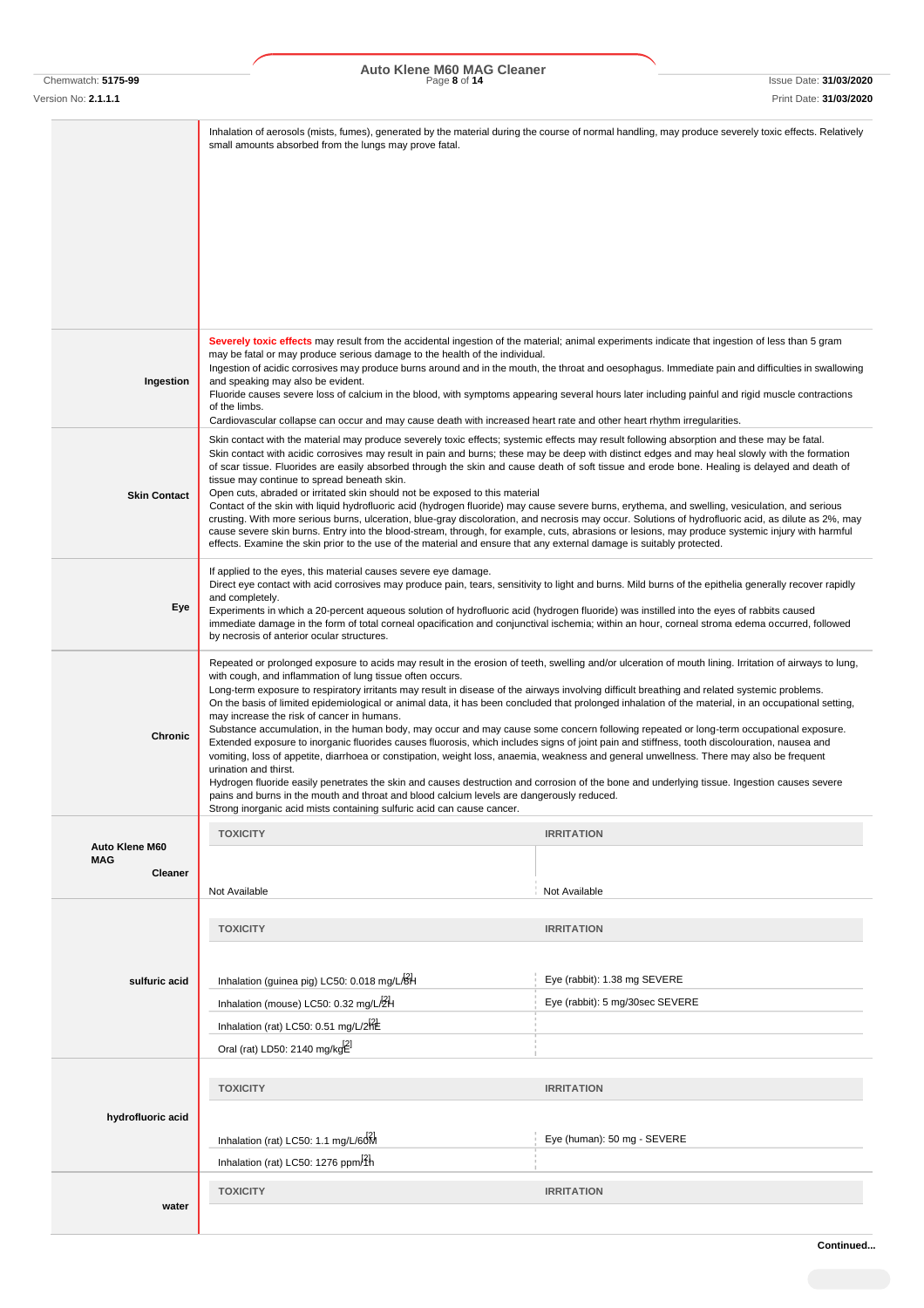Chemwatch: **5175-99** Page **8** of **14** Issue Date: **31/03/2020 Auto Klene M60 MAG Cleaner**

Version No: **2.1.1.1** Print Date: **31/03/2020**

|                              | small amounts absorbed from the lungs may prove fatal.                                                                                                                                                                                                                                                                                                                                                                                                                                                                                                                                                                                                                                                                                                                                                                                                                                                                                                                                                                                                                                                                                                                                                                                                                                  | Inhalation of aerosols (mists, fumes), generated by the material during the course of normal handling, may produce severely toxic effects. Relatively                                                                                                                                                                                                                                                                                                                                                                                                                                                                                                                                                                                                                                                                                                                                                                                                                                                                                                                                                                                                                                                                                           |  |  |  |
|------------------------------|-----------------------------------------------------------------------------------------------------------------------------------------------------------------------------------------------------------------------------------------------------------------------------------------------------------------------------------------------------------------------------------------------------------------------------------------------------------------------------------------------------------------------------------------------------------------------------------------------------------------------------------------------------------------------------------------------------------------------------------------------------------------------------------------------------------------------------------------------------------------------------------------------------------------------------------------------------------------------------------------------------------------------------------------------------------------------------------------------------------------------------------------------------------------------------------------------------------------------------------------------------------------------------------------|-------------------------------------------------------------------------------------------------------------------------------------------------------------------------------------------------------------------------------------------------------------------------------------------------------------------------------------------------------------------------------------------------------------------------------------------------------------------------------------------------------------------------------------------------------------------------------------------------------------------------------------------------------------------------------------------------------------------------------------------------------------------------------------------------------------------------------------------------------------------------------------------------------------------------------------------------------------------------------------------------------------------------------------------------------------------------------------------------------------------------------------------------------------------------------------------------------------------------------------------------|--|--|--|
|                              |                                                                                                                                                                                                                                                                                                                                                                                                                                                                                                                                                                                                                                                                                                                                                                                                                                                                                                                                                                                                                                                                                                                                                                                                                                                                                         |                                                                                                                                                                                                                                                                                                                                                                                                                                                                                                                                                                                                                                                                                                                                                                                                                                                                                                                                                                                                                                                                                                                                                                                                                                                 |  |  |  |
|                              |                                                                                                                                                                                                                                                                                                                                                                                                                                                                                                                                                                                                                                                                                                                                                                                                                                                                                                                                                                                                                                                                                                                                                                                                                                                                                         |                                                                                                                                                                                                                                                                                                                                                                                                                                                                                                                                                                                                                                                                                                                                                                                                                                                                                                                                                                                                                                                                                                                                                                                                                                                 |  |  |  |
|                              |                                                                                                                                                                                                                                                                                                                                                                                                                                                                                                                                                                                                                                                                                                                                                                                                                                                                                                                                                                                                                                                                                                                                                                                                                                                                                         |                                                                                                                                                                                                                                                                                                                                                                                                                                                                                                                                                                                                                                                                                                                                                                                                                                                                                                                                                                                                                                                                                                                                                                                                                                                 |  |  |  |
| Ingestion                    | Severely toxic effects may result from the accidental ingestion of the material; animal experiments indicate that ingestion of less than 5 gram<br>may be fatal or may produce serious damage to the health of the individual.<br>and speaking may also be evident.<br>Fluoride causes severe loss of calcium in the blood, with symptoms appearing several hours later including painful and rigid muscle contractions<br>of the limbs.                                                                                                                                                                                                                                                                                                                                                                                                                                                                                                                                                                                                                                                                                                                                                                                                                                                | Ingestion of acidic corrosives may produce burns around and in the mouth, the throat and oesophagus. Immediate pain and difficulties in swallowing                                                                                                                                                                                                                                                                                                                                                                                                                                                                                                                                                                                                                                                                                                                                                                                                                                                                                                                                                                                                                                                                                              |  |  |  |
| <b>Skin Contact</b>          | tissue may continue to spread beneath skin.                                                                                                                                                                                                                                                                                                                                                                                                                                                                                                                                                                                                                                                                                                                                                                                                                                                                                                                                                                                                                                                                                                                                                                                                                                             | Cardiovascular collapse can occur and may cause death with increased heart rate and other heart rhythm irregularities.<br>Skin contact with the material may produce severely toxic effects; systemic effects may result following absorption and these may be fatal.<br>Skin contact with acidic corrosives may result in pain and burns; these may be deep with distinct edges and may heal slowly with the formation<br>of scar tissue. Fluorides are easily absorbed through the skin and cause death of soft tissue and erode bone. Healing is delayed and death of<br>Open cuts, abraded or irritated skin should not be exposed to this material<br>Contact of the skin with liquid hydrofluoric acid (hydrogen fluoride) may cause severe burns, erythema, and swelling, vesiculation, and serious<br>crusting. With more serious burns, ulceration, blue-gray discoloration, and necrosis may occur. Solutions of hydrofluoric acid, as dilute as 2%, may<br>cause severe skin burns. Entry into the blood-stream, through, for example, cuts, abrasions or lesions, may produce systemic injury with harmful<br>effects. Examine the skin prior to the use of the material and ensure that any external damage is suitably protected. |  |  |  |
| Eye                          | If applied to the eyes, this material causes severe eye damage.<br>Direct eye contact with acid corrosives may produce pain, tears, sensitivity to light and burns. Mild burns of the epithelia generally recover rapidly<br>and completely.<br>Experiments in which a 20-percent aqueous solution of hydrofluoric acid (hydrogen fluoride) was instilled into the eyes of rabbits caused<br>immediate damage in the form of total corneal opacification and conjunctival ischemia; within an hour, corneal stroma edema occurred, followed<br>by necrosis of anterior ocular structures.                                                                                                                                                                                                                                                                                                                                                                                                                                                                                                                                                                                                                                                                                               |                                                                                                                                                                                                                                                                                                                                                                                                                                                                                                                                                                                                                                                                                                                                                                                                                                                                                                                                                                                                                                                                                                                                                                                                                                                 |  |  |  |
| Chronic                      | Repeated or prolonged exposure to acids may result in the erosion of teeth, swelling and/or ulceration of mouth lining. Irritation of airways to lung,<br>with cough, and inflammation of lung tissue often occurs.<br>Long-term exposure to respiratory irritants may result in disease of the airways involving difficult breathing and related systemic problems.<br>On the basis of limited epidemiological or animal data, it has been concluded that prolonged inhalation of the material, in an occupational setting,<br>may increase the risk of cancer in humans.<br>Substance accumulation, in the human body, may occur and may cause some concern following repeated or long-term occupational exposure.<br>Extended exposure to inorganic fluorides causes fluorosis, which includes signs of joint pain and stiffness, tooth discolouration, nausea and<br>vomiting, loss of appetite, diarrhoea or constipation, weight loss, anaemia, weakness and general unwellness. There may also be frequent<br>urination and thirst.<br>Hydrogen fluoride easily penetrates the skin and causes destruction and corrosion of the bone and underlying tissue. Ingestion causes severe<br>pains and burns in the mouth and throat and blood calcium levels are dangerously reduced. |                                                                                                                                                                                                                                                                                                                                                                                                                                                                                                                                                                                                                                                                                                                                                                                                                                                                                                                                                                                                                                                                                                                                                                                                                                                 |  |  |  |
|                              | Strong inorganic acid mists containing sulfuric acid can cause cancer.<br><b>TOXICITY</b>                                                                                                                                                                                                                                                                                                                                                                                                                                                                                                                                                                                                                                                                                                                                                                                                                                                                                                                                                                                                                                                                                                                                                                                               | <b>IRRITATION</b>                                                                                                                                                                                                                                                                                                                                                                                                                                                                                                                                                                                                                                                                                                                                                                                                                                                                                                                                                                                                                                                                                                                                                                                                                               |  |  |  |
| Auto Klene M60<br><b>MAG</b> |                                                                                                                                                                                                                                                                                                                                                                                                                                                                                                                                                                                                                                                                                                                                                                                                                                                                                                                                                                                                                                                                                                                                                                                                                                                                                         |                                                                                                                                                                                                                                                                                                                                                                                                                                                                                                                                                                                                                                                                                                                                                                                                                                                                                                                                                                                                                                                                                                                                                                                                                                                 |  |  |  |
| Cleaner                      | Not Available                                                                                                                                                                                                                                                                                                                                                                                                                                                                                                                                                                                                                                                                                                                                                                                                                                                                                                                                                                                                                                                                                                                                                                                                                                                                           | Not Available                                                                                                                                                                                                                                                                                                                                                                                                                                                                                                                                                                                                                                                                                                                                                                                                                                                                                                                                                                                                                                                                                                                                                                                                                                   |  |  |  |
|                              | <b>TOXICITY</b>                                                                                                                                                                                                                                                                                                                                                                                                                                                                                                                                                                                                                                                                                                                                                                                                                                                                                                                                                                                                                                                                                                                                                                                                                                                                         |                                                                                                                                                                                                                                                                                                                                                                                                                                                                                                                                                                                                                                                                                                                                                                                                                                                                                                                                                                                                                                                                                                                                                                                                                                                 |  |  |  |
|                              |                                                                                                                                                                                                                                                                                                                                                                                                                                                                                                                                                                                                                                                                                                                                                                                                                                                                                                                                                                                                                                                                                                                                                                                                                                                                                         | <b>IRRITATION</b>                                                                                                                                                                                                                                                                                                                                                                                                                                                                                                                                                                                                                                                                                                                                                                                                                                                                                                                                                                                                                                                                                                                                                                                                                               |  |  |  |
| sulfuric acid                | Inhalation (guinea pig) LC50: 0.018 mg/L/BH                                                                                                                                                                                                                                                                                                                                                                                                                                                                                                                                                                                                                                                                                                                                                                                                                                                                                                                                                                                                                                                                                                                                                                                                                                             | Eye (rabbit): 1.38 mg SEVERE                                                                                                                                                                                                                                                                                                                                                                                                                                                                                                                                                                                                                                                                                                                                                                                                                                                                                                                                                                                                                                                                                                                                                                                                                    |  |  |  |
|                              | Inhalation (mouse) LC50: 0.32 mg/L $/2H$                                                                                                                                                                                                                                                                                                                                                                                                                                                                                                                                                                                                                                                                                                                                                                                                                                                                                                                                                                                                                                                                                                                                                                                                                                                | Eye (rabbit): 5 mg/30sec SEVERE                                                                                                                                                                                                                                                                                                                                                                                                                                                                                                                                                                                                                                                                                                                                                                                                                                                                                                                                                                                                                                                                                                                                                                                                                 |  |  |  |
|                              | Inhalation (rat) LC50: 0.51 mg/L/2HE                                                                                                                                                                                                                                                                                                                                                                                                                                                                                                                                                                                                                                                                                                                                                                                                                                                                                                                                                                                                                                                                                                                                                                                                                                                    |                                                                                                                                                                                                                                                                                                                                                                                                                                                                                                                                                                                                                                                                                                                                                                                                                                                                                                                                                                                                                                                                                                                                                                                                                                                 |  |  |  |
|                              | Oral (rat) LD50: 2140 mg/kg <sup>21</sup>                                                                                                                                                                                                                                                                                                                                                                                                                                                                                                                                                                                                                                                                                                                                                                                                                                                                                                                                                                                                                                                                                                                                                                                                                                               |                                                                                                                                                                                                                                                                                                                                                                                                                                                                                                                                                                                                                                                                                                                                                                                                                                                                                                                                                                                                                                                                                                                                                                                                                                                 |  |  |  |
|                              | <b>TOXICITY</b>                                                                                                                                                                                                                                                                                                                                                                                                                                                                                                                                                                                                                                                                                                                                                                                                                                                                                                                                                                                                                                                                                                                                                                                                                                                                         | <b>IRRITATION</b>                                                                                                                                                                                                                                                                                                                                                                                                                                                                                                                                                                                                                                                                                                                                                                                                                                                                                                                                                                                                                                                                                                                                                                                                                               |  |  |  |
| hydrofluoric acid            |                                                                                                                                                                                                                                                                                                                                                                                                                                                                                                                                                                                                                                                                                                                                                                                                                                                                                                                                                                                                                                                                                                                                                                                                                                                                                         |                                                                                                                                                                                                                                                                                                                                                                                                                                                                                                                                                                                                                                                                                                                                                                                                                                                                                                                                                                                                                                                                                                                                                                                                                                                 |  |  |  |
|                              | Inhalation (rat) LC50: 1.1 mg/L/60M                                                                                                                                                                                                                                                                                                                                                                                                                                                                                                                                                                                                                                                                                                                                                                                                                                                                                                                                                                                                                                                                                                                                                                                                                                                     | Eye (human): 50 mg - SEVERE                                                                                                                                                                                                                                                                                                                                                                                                                                                                                                                                                                                                                                                                                                                                                                                                                                                                                                                                                                                                                                                                                                                                                                                                                     |  |  |  |
|                              | Inhalation (rat) LC50: 1276 ppm/4h                                                                                                                                                                                                                                                                                                                                                                                                                                                                                                                                                                                                                                                                                                                                                                                                                                                                                                                                                                                                                                                                                                                                                                                                                                                      |                                                                                                                                                                                                                                                                                                                                                                                                                                                                                                                                                                                                                                                                                                                                                                                                                                                                                                                                                                                                                                                                                                                                                                                                                                                 |  |  |  |
| water                        | <b>TOXICITY</b>                                                                                                                                                                                                                                                                                                                                                                                                                                                                                                                                                                                                                                                                                                                                                                                                                                                                                                                                                                                                                                                                                                                                                                                                                                                                         | <b>IRRITATION</b>                                                                                                                                                                                                                                                                                                                                                                                                                                                                                                                                                                                                                                                                                                                                                                                                                                                                                                                                                                                                                                                                                                                                                                                                                               |  |  |  |
|                              |                                                                                                                                                                                                                                                                                                                                                                                                                                                                                                                                                                                                                                                                                                                                                                                                                                                                                                                                                                                                                                                                                                                                                                                                                                                                                         |                                                                                                                                                                                                                                                                                                                                                                                                                                                                                                                                                                                                                                                                                                                                                                                                                                                                                                                                                                                                                                                                                                                                                                                                                                                 |  |  |  |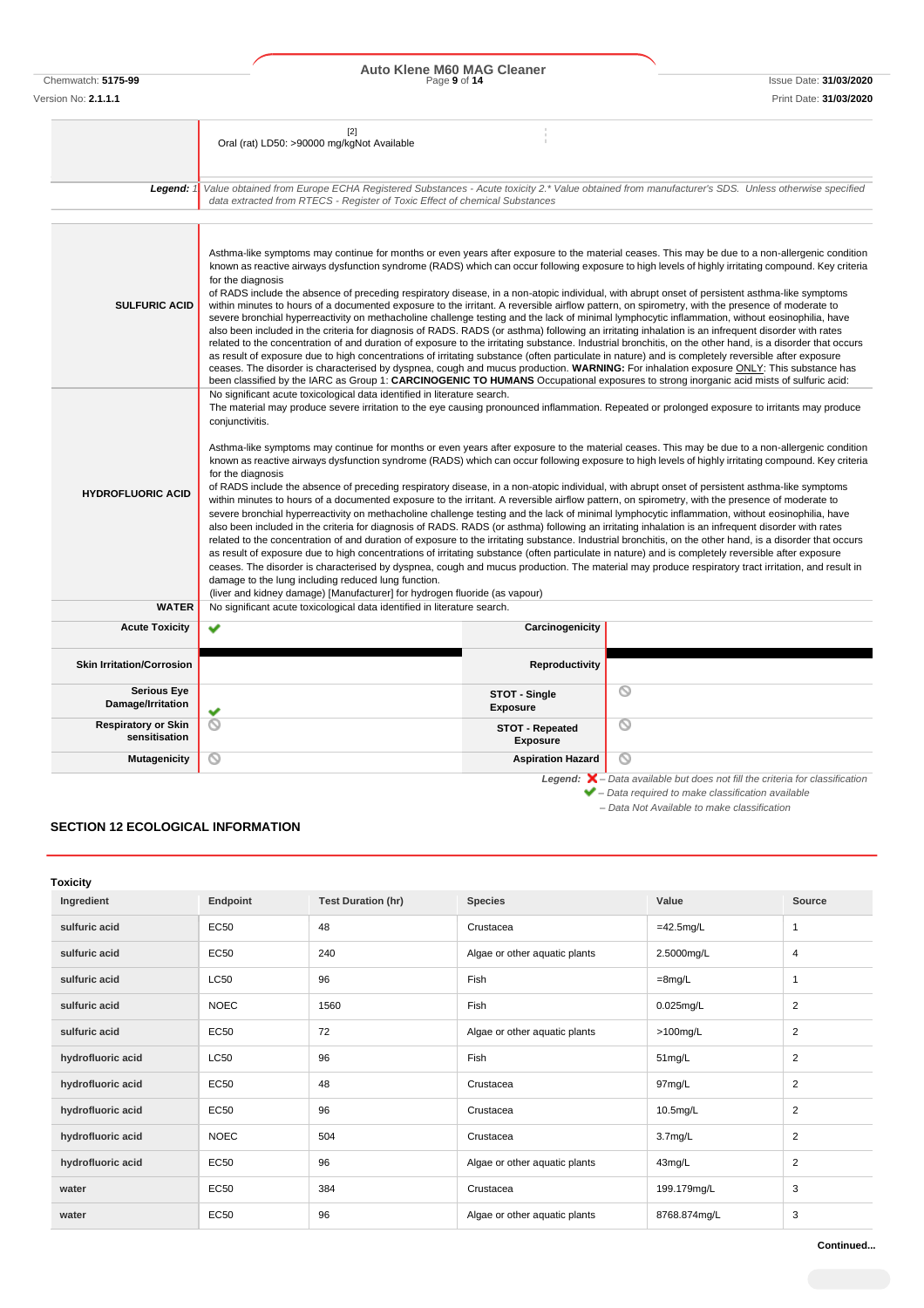Chemwatch: **5175-99** Page **9** of **14** Issue Date: **31/03/2020 Auto Klene M60 MAG Cleaner**

|                                             | $[2]$<br>Oral (rat) LD50: >90000 mg/kgNot Available                                                                                                                                                                                                                                                                                                                                                                                                                                                                                                                                                                                                                                                                                                                                                                                                                                                                                                                                                                                                                                                                                                                                                                                                                                                                                                                                                                                                                                                                                                                                                                                                                                                                        |                                    |   |  |
|---------------------------------------------|----------------------------------------------------------------------------------------------------------------------------------------------------------------------------------------------------------------------------------------------------------------------------------------------------------------------------------------------------------------------------------------------------------------------------------------------------------------------------------------------------------------------------------------------------------------------------------------------------------------------------------------------------------------------------------------------------------------------------------------------------------------------------------------------------------------------------------------------------------------------------------------------------------------------------------------------------------------------------------------------------------------------------------------------------------------------------------------------------------------------------------------------------------------------------------------------------------------------------------------------------------------------------------------------------------------------------------------------------------------------------------------------------------------------------------------------------------------------------------------------------------------------------------------------------------------------------------------------------------------------------------------------------------------------------------------------------------------------------|------------------------------------|---|--|
| Legend: $1$                                 | Value obtained from Europe ECHA Registered Substances - Acute toxicity 2.* Value obtained from manufacturer's SDS. Unless otherwise specified<br>data extracted from RTECS - Register of Toxic Effect of chemical Substances                                                                                                                                                                                                                                                                                                                                                                                                                                                                                                                                                                                                                                                                                                                                                                                                                                                                                                                                                                                                                                                                                                                                                                                                                                                                                                                                                                                                                                                                                               |                                    |   |  |
| <b>SULFURIC ACID</b>                        | Asthma-like symptoms may continue for months or even years after exposure to the material ceases. This may be due to a non-allergenic condition<br>known as reactive airways dysfunction syndrome (RADS) which can occur following exposure to high levels of highly irritating compound. Key criteria<br>for the diagnosis<br>of RADS include the absence of preceding respiratory disease, in a non-atopic individual, with abrupt onset of persistent asthma-like symptoms<br>within minutes to hours of a documented exposure to the irritant. A reversible airflow pattern, on spirometry, with the presence of moderate to<br>severe bronchial hyperreactivity on methacholine challenge testing and the lack of minimal lymphocytic inflammation, without eosinophilia, have<br>also been included in the criteria for diagnosis of RADS. RADS (or asthma) following an irritating inhalation is an infrequent disorder with rates<br>related to the concentration of and duration of exposure to the irritating substance. Industrial bronchitis, on the other hand, is a disorder that occurs<br>as result of exposure due to high concentrations of irritating substance (often particulate in nature) and is completely reversible after exposure<br>ceases. The disorder is characterised by dyspnea, cough and mucus production. WARNING: For inhalation exposure ONLY: This substance has<br>been classified by the IARC as Group 1: CARCINOGENIC TO HUMANS Occupational exposures to strong inorganic acid mists of sulfuric acid:                                                                                                                                                                          |                                    |   |  |
| <b>HYDROFLUORIC ACID</b>                    | No significant acute toxicological data identified in literature search.<br>The material may produce severe irritation to the eye causing pronounced inflammation. Repeated or prolonged exposure to irritants may produce<br>conjunctivitis.<br>Asthma-like symptoms may continue for months or even years after exposure to the material ceases. This may be due to a non-allergenic condition<br>known as reactive airways dysfunction syndrome (RADS) which can occur following exposure to high levels of highly irritating compound. Key criteria<br>for the diagnosis<br>of RADS include the absence of preceding respiratory disease, in a non-atopic individual, with abrupt onset of persistent asthma-like symptoms<br>within minutes to hours of a documented exposure to the irritant. A reversible airflow pattern, on spirometry, with the presence of moderate to<br>severe bronchial hyperreactivity on methacholine challenge testing and the lack of minimal lymphocytic inflammation, without eosinophilia, have<br>also been included in the criteria for diagnosis of RADS. RADS (or asthma) following an irritating inhalation is an infrequent disorder with rates<br>related to the concentration of and duration of exposure to the irritating substance. Industrial bronchitis, on the other hand, is a disorder that occurs<br>as result of exposure due to high concentrations of irritating substance (often particulate in nature) and is completely reversible after exposure<br>ceases. The disorder is characterised by dyspnea, cough and mucus production. The material may produce respiratory tract irritation, and result in<br>damage to the lung including reduced lung function. |                                    |   |  |
| <b>WATER</b>                                | (liver and kidney damage) [Manufacturer] for hydrogen fluoride (as vapour)<br>No significant acute toxicological data identified in literature search.                                                                                                                                                                                                                                                                                                                                                                                                                                                                                                                                                                                                                                                                                                                                                                                                                                                                                                                                                                                                                                                                                                                                                                                                                                                                                                                                                                                                                                                                                                                                                                     |                                    |   |  |
| <b>Acute Toxicity</b>                       | v                                                                                                                                                                                                                                                                                                                                                                                                                                                                                                                                                                                                                                                                                                                                                                                                                                                                                                                                                                                                                                                                                                                                                                                                                                                                                                                                                                                                                                                                                                                                                                                                                                                                                                                          | Carcinogenicity                    |   |  |
| <b>Skin Irritation/Corrosion</b>            |                                                                                                                                                                                                                                                                                                                                                                                                                                                                                                                                                                                                                                                                                                                                                                                                                                                                                                                                                                                                                                                                                                                                                                                                                                                                                                                                                                                                                                                                                                                                                                                                                                                                                                                            | Reproductivity                     |   |  |
| <b>Serious Eye</b><br>Damage/Irritation     | v                                                                                                                                                                                                                                                                                                                                                                                                                                                                                                                                                                                                                                                                                                                                                                                                                                                                                                                                                                                                                                                                                                                                                                                                                                                                                                                                                                                                                                                                                                                                                                                                                                                                                                                          | STOT - Single<br><b>Exposure</b>   | O |  |
| <b>Respiratory or Skin</b><br>sensitisation | ⊚                                                                                                                                                                                                                                                                                                                                                                                                                                                                                                                                                                                                                                                                                                                                                                                                                                                                                                                                                                                                                                                                                                                                                                                                                                                                                                                                                                                                                                                                                                                                                                                                                                                                                                                          | STOT - Repeated<br><b>Exposure</b> | ◎ |  |
| <b>Mutagenicity</b>                         | ⊚                                                                                                                                                                                                                                                                                                                                                                                                                                                                                                                                                                                                                                                                                                                                                                                                                                                                                                                                                                                                                                                                                                                                                                                                                                                                                                                                                                                                                                                                                                                                                                                                                                                                                                                          | <b>Aspiration Hazard</b>           | ര |  |

*– Data Not Available to make classification*

### **SECTION 12 ECOLOGICAL INFORMATION**

| <b>Toxicity</b>   |             |                           |                               |                     |                |
|-------------------|-------------|---------------------------|-------------------------------|---------------------|----------------|
| Ingredient        | Endpoint    | <b>Test Duration (hr)</b> | <b>Species</b>                | Value               | Source         |
| sulfuric acid     | EC50        | 48                        | Crustacea                     | $=42.5$ mg/L        | $\mathbf{1}$   |
| sulfuric acid     | EC50        | 240                       | Algae or other aquatic plants | 2.5000mg/L          | $\overline{4}$ |
| sulfuric acid     | <b>LC50</b> | 96                        | Fish                          | $=8$ mg/L           | $\mathbf{1}$   |
| sulfuric acid     | <b>NOEC</b> | 1560                      | Fish                          | $0.025$ mg/L        | 2              |
| sulfuric acid     | <b>EC50</b> | 72                        | Algae or other aquatic plants | $>100$ mg/L         | $\overline{2}$ |
| hydrofluoric acid | <b>LC50</b> | 96                        | Fish                          | 51mg/L              | $\overline{2}$ |
| hydrofluoric acid | <b>EC50</b> | 48                        | Crustacea                     | 97mg/L              | $\overline{2}$ |
| hydrofluoric acid | <b>EC50</b> | 96                        | Crustacea                     | 10.5mg/L            | $\overline{2}$ |
| hydrofluoric acid | <b>NOEC</b> | 504                       | Crustacea                     | 3.7 <sub>mg/L</sub> | $\overline{2}$ |
| hydrofluoric acid | <b>EC50</b> | 96                        | Algae or other aquatic plants | 43mg/L              | $\overline{2}$ |
| water             | <b>EC50</b> | 384                       | Crustacea                     | 199.179mg/L         | 3              |
| water             | <b>EC50</b> | 96                        | Algae or other aquatic plants | 8768.874mg/L        | 3              |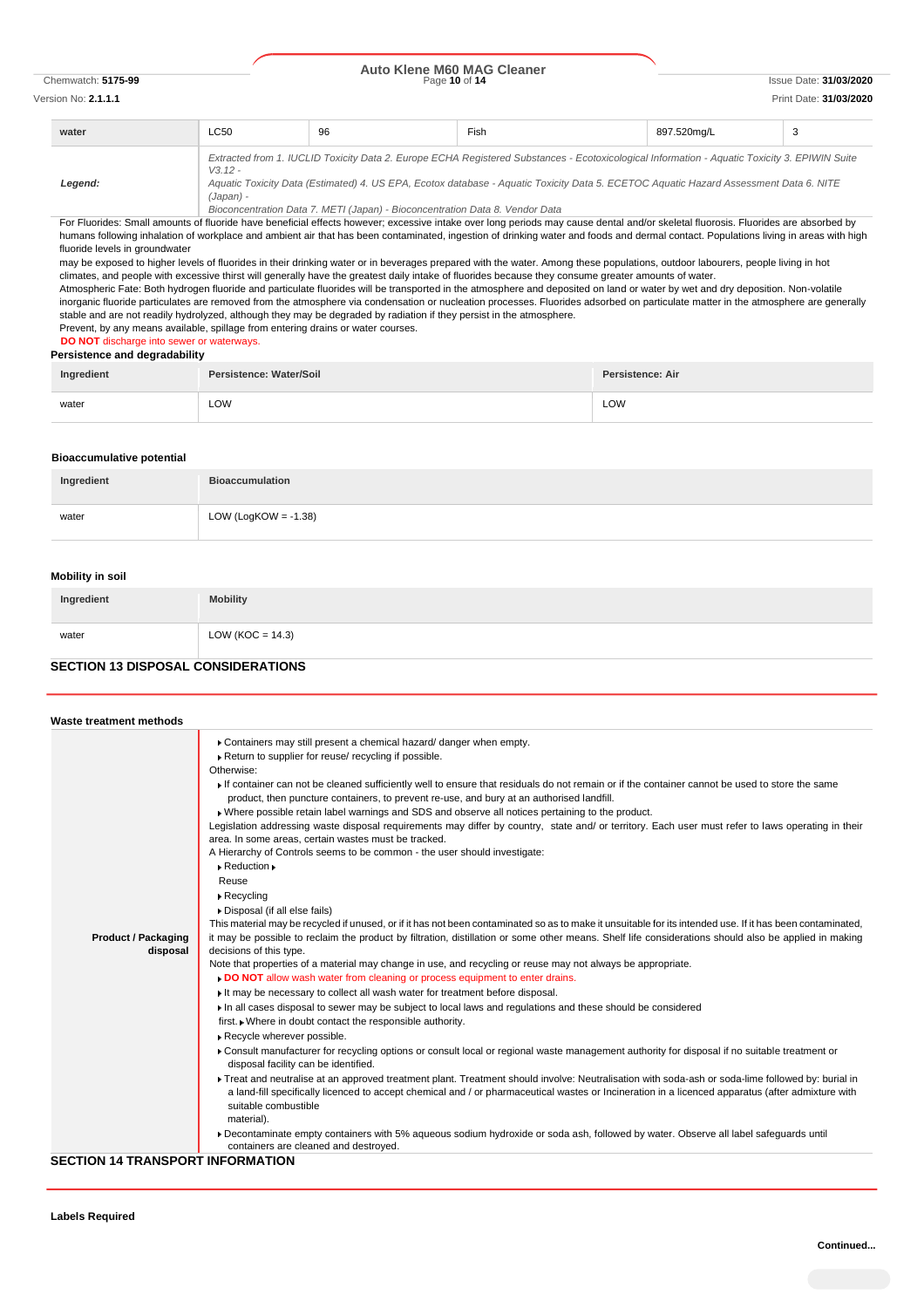# Chemwatch: **5175-99** Page **10** of **14** Issue Date: **31/03/2020 Auto Klene M60 MAG Cleaner**

# Version No: **2.1.1.1** Print Date: **31/03/2020**

| water   | <b>LC50</b> | 96 | Fish                                                                                                                                          | 897.520mg/L | 3 |
|---------|-------------|----|-----------------------------------------------------------------------------------------------------------------------------------------------|-------------|---|
|         | $V3.12 -$   |    | Extracted from 1. IUCLID Toxicity Data 2. Europe ECHA Registered Substances - Ecotoxicological Information - Aquatic Toxicity 3. EPIWIN Suite |             |   |
| Leaend: |             |    | Aquatic Toxicity Data (Estimated) 4. US EPA, Ecotox database - Aquatic Toxicity Data 5. ECETOC Aquatic Hazard Assessment Data 6. NITE         |             |   |

*Aquatic Toxicity Data (Estimated) 4. US EPA, Ecotox database - Aquatic Toxicity Data 5. ECETOC Aquatic Hazard Assessment Data 6. NITE (Japan) -*

*Bioconcentration Data 7. METI (Japan) - Bioconcentration Data 8. Vendor Data*

For Fluorides: Small amounts of fluoride have beneficial effects however; excessive intake over long periods may cause dental and/or skeletal fluorosis. Fluorides are absorbed by humans following inhalation of workplace and ambient air that has been contaminated, ingestion of drinking water and foods and dermal contact. Populations living in areas with high fluoride levels in groundwater

may be exposed to higher levels of fluorides in their drinking water or in beverages prepared with the water. Among these populations, outdoor labourers, people living in hot climates, and people with excessive thirst will generally have the greatest daily intake of fluorides because they consume greater amounts of water.

Atmospheric Fate: Both hydrogen fluoride and particulate fluorides will be transported in the atmosphere and deposited on land or water by wet and dry deposition. Non-volatile inorganic fluoride particulates are removed from the atmosphere via condensation or nucleation processes. Fluorides adsorbed on particulate matter in the atmosphere are generally stable and are not readily hydrolyzed, although they may be degraded by radiation if they persist in the atmosphere.

#### Prevent, by any means available, spillage from entering drains or water courses. **DO NOT** discharge into sewer or waterways.

**Persistence and degradability**

| Ingredient | Persistence: Water/Soil | Persistence: Air |
|------------|-------------------------|------------------|
| water      | LOW                     | LOW              |

#### **Bioaccumulative potential**

| Ingredient | <b>Bioaccumulation</b>  |
|------------|-------------------------|
| water      | LOW (LogKOW = $-1.38$ ) |

### **Mobility in soil**

| Ingredient | <b>Mobility</b>      |
|------------|----------------------|
| water      | LOW ( $KOC = 14.3$ ) |

### **SECTION 13 DISPOSAL CONSIDERATIONS**

| Waste treatment methods    |                                                                                                                                                                                                                                                                                                      |
|----------------------------|------------------------------------------------------------------------------------------------------------------------------------------------------------------------------------------------------------------------------------------------------------------------------------------------------|
|                            | Containers may still present a chemical hazard/ danger when empty.                                                                                                                                                                                                                                   |
|                            | Return to supplier for reuse/ recycling if possible.                                                                                                                                                                                                                                                 |
|                            | Otherwise:                                                                                                                                                                                                                                                                                           |
|                            | If container can not be cleaned sufficiently well to ensure that residuals do not remain or if the container cannot be used to store the same                                                                                                                                                        |
|                            | product, then puncture containers, to prevent re-use, and bury at an authorised landfill.                                                                                                                                                                                                            |
|                            | » Where possible retain label warnings and SDS and observe all notices pertaining to the product.                                                                                                                                                                                                    |
|                            | Legislation addressing waste disposal requirements may differ by country, state and/ or territory. Each user must refer to laws operating in their                                                                                                                                                   |
|                            | area. In some areas, certain wastes must be tracked.                                                                                                                                                                                                                                                 |
|                            | A Hierarchy of Controls seems to be common - the user should investigate:                                                                                                                                                                                                                            |
|                            | $\triangleright$ Reduction $\triangleright$                                                                                                                                                                                                                                                          |
|                            | Reuse                                                                                                                                                                                                                                                                                                |
|                            | $\triangleright$ Recycling                                                                                                                                                                                                                                                                           |
|                            | Disposal (if all else fails)                                                                                                                                                                                                                                                                         |
|                            | This material may be recycled if unused, or if it has not been contaminated so as to make it unsuitable for its intended use. If it has been contaminated,                                                                                                                                           |
| <b>Product / Packaging</b> | it may be possible to reclaim the product by filtration, distillation or some other means. Shelf life considerations should also be applied in making                                                                                                                                                |
| disposal                   | decisions of this type.                                                                                                                                                                                                                                                                              |
|                            | Note that properties of a material may change in use, and recycling or reuse may not always be appropriate.                                                                                                                                                                                          |
|                            | DO NOT allow wash water from cleaning or process equipment to enter drains.                                                                                                                                                                                                                          |
|                            | If may be necessary to collect all wash water for treatment before disposal.                                                                                                                                                                                                                         |
|                            | In all cases disposal to sewer may be subject to local laws and regulations and these should be considered                                                                                                                                                                                           |
|                            | first. • Where in doubt contact the responsible authority.                                                                                                                                                                                                                                           |
|                            | Recycle wherever possible.                                                                                                                                                                                                                                                                           |
|                            | Consult manufacturer for recycling options or consult local or regional waste management authority for disposal if no suitable treatment or<br>disposal facility can be identified.                                                                                                                  |
|                            | Freat and neutralise at an approved treatment plant. Treatment should involve: Neutralisation with soda-ash or soda-lime followed by: burial in<br>a land-fill specifically licenced to accept chemical and / or pharmaceutical wastes or Incineration in a licenced apparatus (after admixture with |
|                            | suitable combustible                                                                                                                                                                                                                                                                                 |
|                            | material).                                                                                                                                                                                                                                                                                           |
|                            | ▶ Decontaminate empty containers with 5% aqueous sodium hydroxide or soda ash, followed by water. Observe all label safequards until<br>containers are cleaned and destroyed.                                                                                                                        |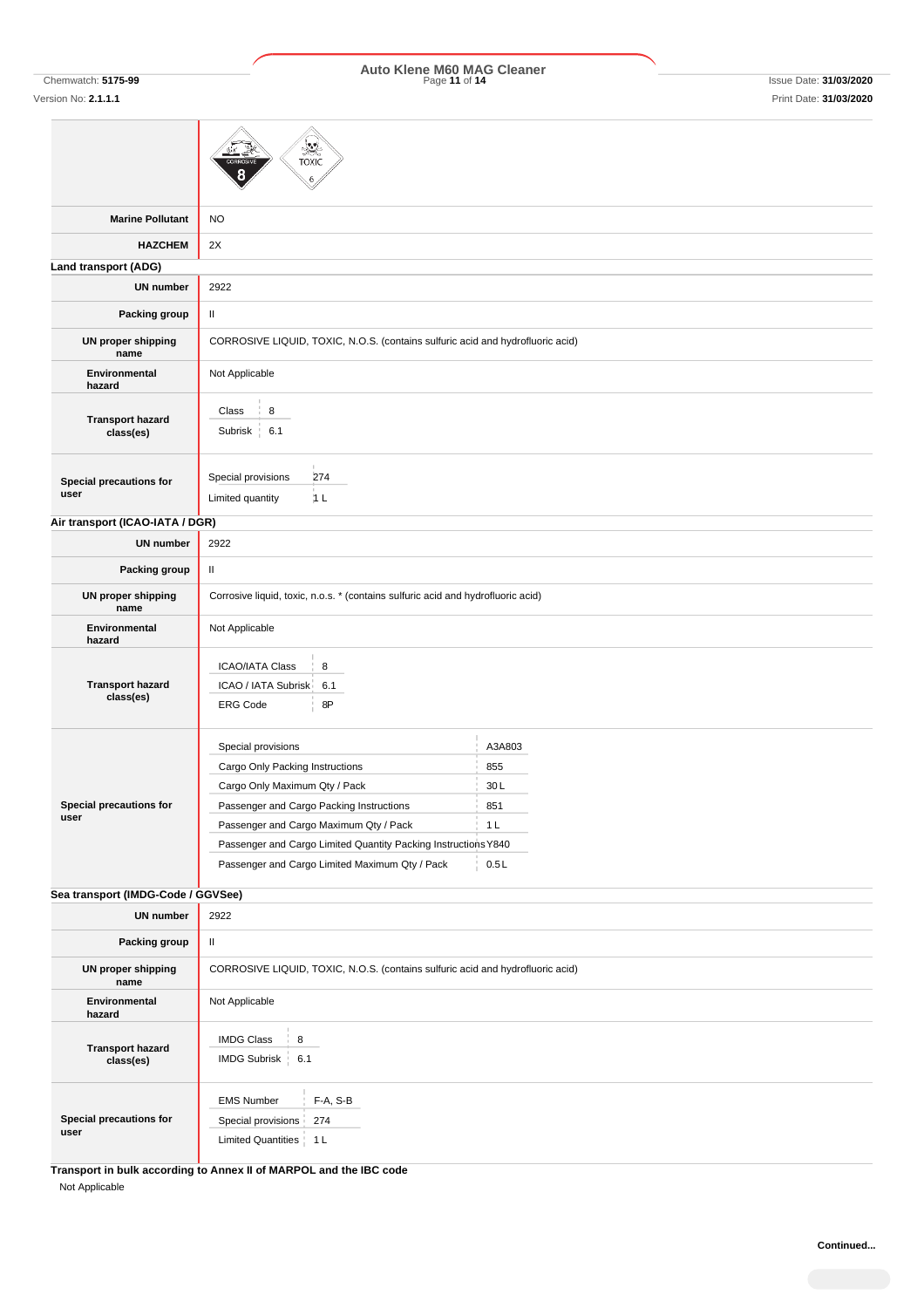# Chemwatch: **5175-99** Page **11** of **14** Issue Date: **31/03/2020 Auto Klene M60 MAG Cleaner**

Ī

|                                      | TOXIC                                                                                                                                                                                                                                                                                            |                                                       |
|--------------------------------------|--------------------------------------------------------------------------------------------------------------------------------------------------------------------------------------------------------------------------------------------------------------------------------------------------|-------------------------------------------------------|
| <b>Marine Pollutant</b>              | <b>NO</b>                                                                                                                                                                                                                                                                                        |                                                       |
| <b>HAZCHEM</b>                       | 2X                                                                                                                                                                                                                                                                                               |                                                       |
| Land transport (ADG)                 |                                                                                                                                                                                                                                                                                                  |                                                       |
| <b>UN number</b>                     | 2922                                                                                                                                                                                                                                                                                             |                                                       |
| Packing group                        | $\sf II$                                                                                                                                                                                                                                                                                         |                                                       |
| <b>UN proper shipping</b><br>name    | CORROSIVE LIQUID, TOXIC, N.O.S. (contains sulfuric acid and hydrofluoric acid)                                                                                                                                                                                                                   |                                                       |
| Environmental<br>hazard              | Not Applicable                                                                                                                                                                                                                                                                                   |                                                       |
| <b>Transport hazard</b><br>class(es) | 8<br>Class<br>6.1<br>Subrisk<br>÷,                                                                                                                                                                                                                                                               |                                                       |
| Special precautions for<br>user      | Special provisions<br>274<br>Limited quantity<br>1 <sub>L</sub>                                                                                                                                                                                                                                  |                                                       |
| Air transport (ICAO-IATA / DGR)      |                                                                                                                                                                                                                                                                                                  |                                                       |
| <b>UN number</b>                     | 2922                                                                                                                                                                                                                                                                                             |                                                       |
| Packing group                        | Ш                                                                                                                                                                                                                                                                                                |                                                       |
| <b>UN proper shipping</b><br>name    | Corrosive liquid, toxic, n.o.s. * (contains sulfuric acid and hydrofluoric acid)                                                                                                                                                                                                                 |                                                       |
| Environmental<br>hazard              | Not Applicable                                                                                                                                                                                                                                                                                   |                                                       |
| <b>Transport hazard</b><br>class(es) | 8<br><b>ICAO/IATA Class</b><br>ICAO / IATA Subrisk<br>6.1<br>8P<br><b>ERG Code</b>                                                                                                                                                                                                               |                                                       |
| Special precautions for<br>user      | Special provisions<br>Cargo Only Packing Instructions<br>Cargo Only Maximum Qty / Pack<br>Passenger and Cargo Packing Instructions<br>Passenger and Cargo Maximum Qty / Pack<br>Passenger and Cargo Limited Quantity Packing Instructions Y840<br>Passenger and Cargo Limited Maximum Qty / Pack | A3A803<br>855<br>30L<br>851<br>1 <sub>L</sub><br>0.5L |
| Sea transport (IMDG-Code / GGVSee)   |                                                                                                                                                                                                                                                                                                  |                                                       |
| <b>UN number</b>                     | 2922                                                                                                                                                                                                                                                                                             |                                                       |
| Packing group                        | $\mathbf H$                                                                                                                                                                                                                                                                                      |                                                       |
| UN proper shipping<br>name           | CORROSIVE LIQUID, TOXIC, N.O.S. (contains sulfuric acid and hydrofluoric acid)                                                                                                                                                                                                                   |                                                       |
| Environmental<br>hazard              | Not Applicable                                                                                                                                                                                                                                                                                   |                                                       |
| <b>Transport hazard</b><br>class(es) | <b>IMDG Class</b><br>8<br>IMDG Subrisk   6.1                                                                                                                                                                                                                                                     |                                                       |
| Special precautions for<br>user      | <b>EMS Number</b><br>F-A, S-B<br>Special provisions<br>274<br>Limited Quantities   1 L                                                                                                                                                                                                           |                                                       |
|                                      | Transport in bulk according to Annex II of MARPOL and the IBC code                                                                                                                                                                                                                               |                                                       |

Not Applicable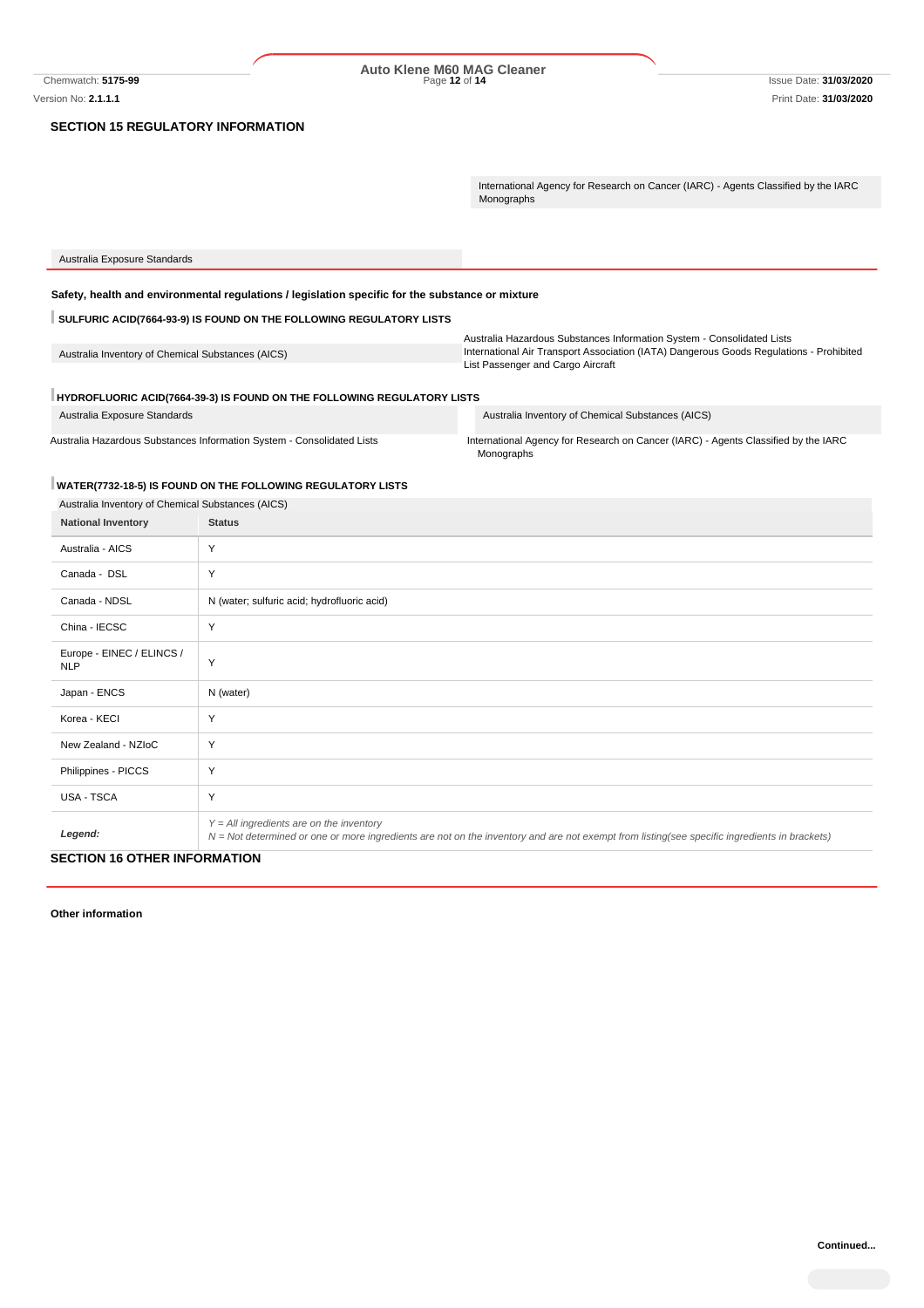#### **SECTION 15 REGULATORY INFORMATION**

International Agency for Research on Cancer (IARC) - Agents Classified by the IARC Monographs

| Australia Exposure Standards                                                                     |                                                                                         |
|--------------------------------------------------------------------------------------------------|-----------------------------------------------------------------------------------------|
|                                                                                                  |                                                                                         |
| Safety, health and environmental regulations / legislation specific for the substance or mixture |                                                                                         |
| SULFURIC ACID(7664-93-9) IS FOUND ON THE FOLLOWING REGULATORY LISTS                              |                                                                                         |
|                                                                                                  | Australia Hazardous Substances Information System - Consolidated Lists                  |
| Australia Inventory of Chemical Substances (AICS)                                                | International Air Transport Association (IATA) Dangerous Goods Regulations - Prohibited |
|                                                                                                  | List Passenger and Cargo Aircraft                                                       |
| HYDROFLUORIC ACID(7664-39-3) IS FOUND ON THE FOLLOWING REGULATORY LISTS                          |                                                                                         |
| Australia Exposure Standards                                                                     | Australia Inventory of Chemical Substances (AICS)                                       |

Australia Hazardous Substances Information System - Consolidated Lists International Agency for Research on Cancer (IARC) - Agents Classified by the IARC Monographs<sup>®</sup>

# **WATER(7732-18-5) IS FOUND ON THE FOLLOWING REGULATORY LISTS**

| <b>National Inventory</b>               | <b>Status</b>                                                                                                                                                                                |
|-----------------------------------------|----------------------------------------------------------------------------------------------------------------------------------------------------------------------------------------------|
| Australia - AICS                        | Y                                                                                                                                                                                            |
| Canada - DSL                            | Y                                                                                                                                                                                            |
| Canada - NDSL                           | N (water; sulfuric acid; hydrofluoric acid)                                                                                                                                                  |
| China - IECSC                           | Y                                                                                                                                                                                            |
| Europe - EINEC / ELINCS /<br><b>NLP</b> | Y                                                                                                                                                                                            |
| Japan - ENCS                            | N (water)                                                                                                                                                                                    |
| Korea - KECI                            | Y                                                                                                                                                                                            |
| New Zealand - NZIoC                     | Y                                                                                                                                                                                            |
| Philippines - PICCS                     | Y                                                                                                                                                                                            |
| <b>USA - TSCA</b>                       | Y                                                                                                                                                                                            |
| Legend:                                 | $Y = All$ ingredients are on the inventory<br>$N = Not$ determined or one or more ingredients are not on the inventory and are not exempt from listing(see specific ingredients in brackets) |

**Other information**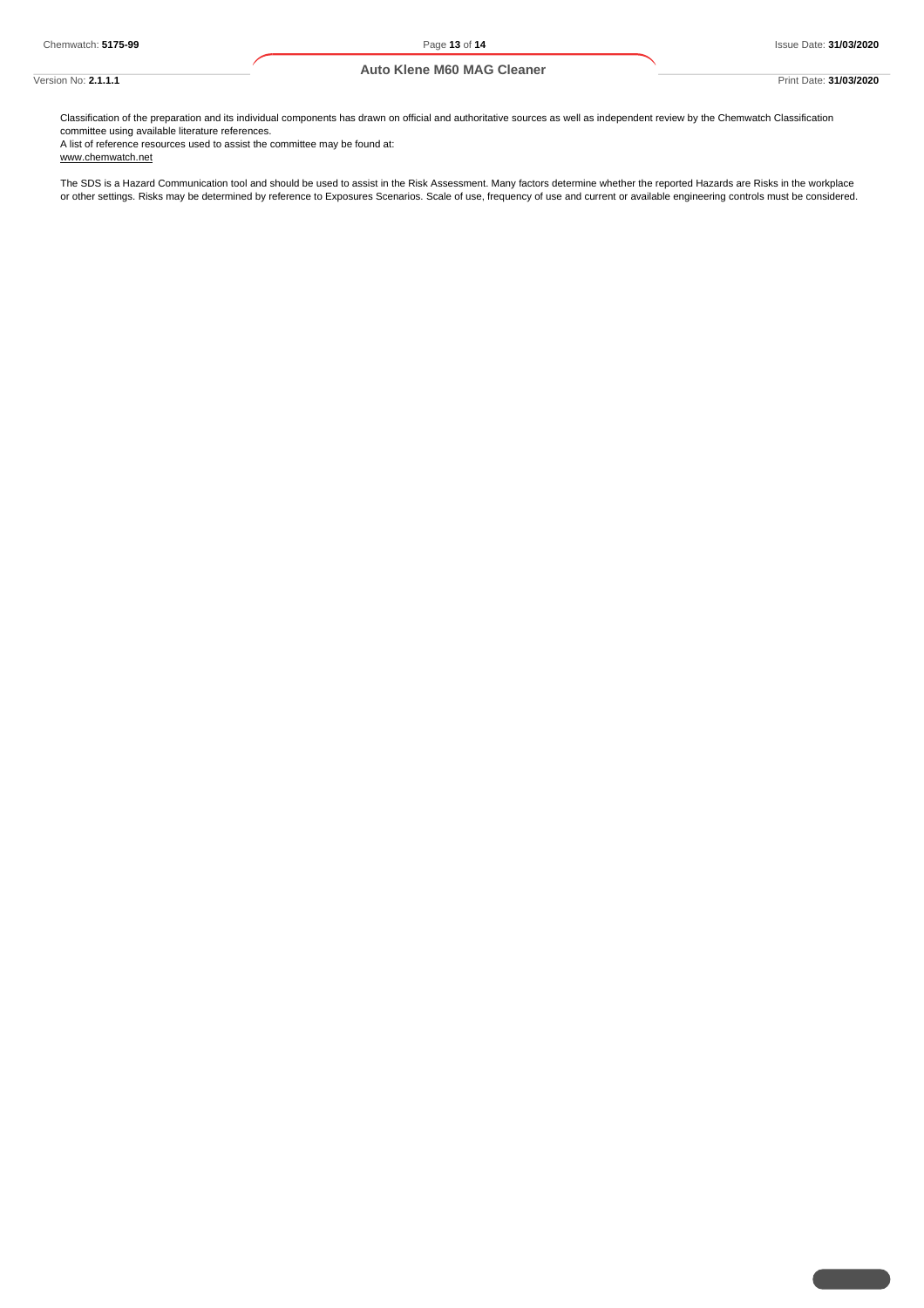#### **Auto Klene M60 MAG Cleaner**

Classification of the preparation and its individual components has drawn on official and authoritative sources as well as independent review by the Chemwatch Classification committee using available literature references.

A list of reference resources used to assist the committee may be found at: www.chemwatch.net

The SDS is a Hazard Communication tool and should be used to assist in the Risk Assessment. Many factors determine whether the reported Hazards are Risks in the workplace or other settings. Risks may be determined by reference to Exposures Scenarios. Scale of use, frequency of use and current or available engineering controls must be considered.